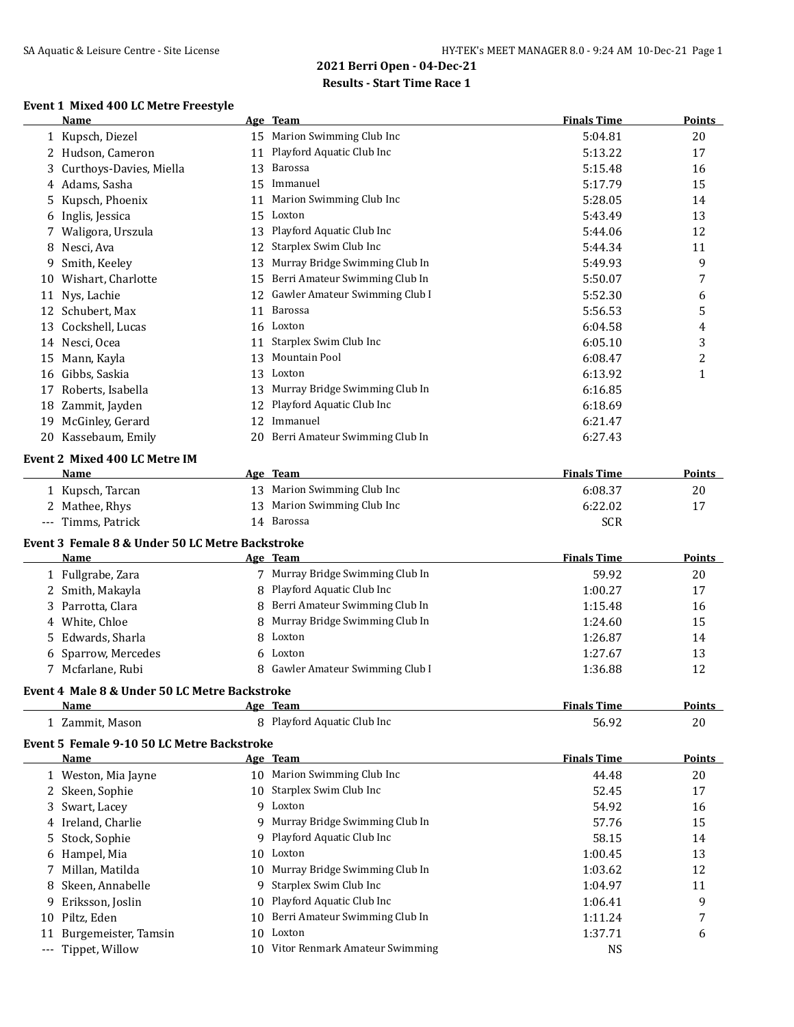### **Event 1 Mixed 400 LC Metre Freestyle**

|    | Name                                                  |    | Age Team                          | <b>Finals Time</b> | <b>Points</b>    |
|----|-------------------------------------------------------|----|-----------------------------------|--------------------|------------------|
|    | 1 Kupsch, Diezel                                      |    | 15 Marion Swimming Club Inc       | 5:04.81            | 20               |
|    | 2 Hudson, Cameron                                     | 11 | Playford Aquatic Club Inc         | 5:13.22            | 17               |
|    | 3 Curthoys-Davies, Miella                             | 13 | Barossa                           | 5:15.48            | 16               |
|    | 4 Adams, Sasha                                        | 15 | Immanuel                          | 5:17.79            | 15               |
|    | 5 Kupsch, Phoenix                                     |    | 11 Marion Swimming Club Inc       | 5:28.05            | 14               |
|    | 6 Inglis, Jessica                                     |    | 15 Loxton                         | 5:43.49            | 13               |
| 7. | Waligora, Urszula                                     |    | 13 Playford Aquatic Club Inc      | 5:44.06            | 12               |
| 8  | Nesci, Ava                                            | 12 | Starplex Swim Club Inc            | 5:44.34            | 11               |
| 9  | Smith, Keeley                                         | 13 | Murray Bridge Swimming Club In    | 5:49.93            | 9                |
| 10 | Wishart, Charlotte                                    |    | 15 Berri Amateur Swimming Club In | 5:50.07            | 7                |
|    | 11 Nys, Lachie                                        |    | 12 Gawler Amateur Swimming Club I | 5:52.30            | 6                |
|    | 12 Schubert, Max                                      | 11 | Barossa                           | 5:56.53            | 5                |
|    | 13 Cockshell, Lucas                                   |    | 16 Loxton                         | 6:04.58            | 4                |
|    | 14 Nesci, Ocea                                        |    | 11 Starplex Swim Club Inc         | 6:05.10            | 3                |
|    | 15 Mann, Kayla                                        | 13 | Mountain Pool                     | 6:08.47            | $\boldsymbol{2}$ |
|    | 16 Gibbs, Saskia                                      |    | 13 Loxton                         | 6:13.92            | $\mathbf{1}$     |
|    | 17 Roberts, Isabella                                  |    | 13 Murray Bridge Swimming Club In | 6:16.85            |                  |
|    | 18 Zammit, Jayden                                     |    | 12 Playford Aquatic Club Inc      | 6:18.69            |                  |
|    | 19 McGinley, Gerard                                   |    | 12 Immanuel                       | 6:21.47            |                  |
|    | 20 Kassebaum, Emily                                   |    | 20 Berri Amateur Swimming Club In | 6:27.43            |                  |
|    | Event 2 Mixed 400 LC Metre IM                         |    |                                   |                    |                  |
|    | Name                                                  |    | Age Team                          | <b>Finals Time</b> | <b>Points</b>    |
|    | 1 Kupsch, Tarcan                                      |    | 13 Marion Swimming Club Inc       | 6:08.37            | 20               |
|    | 2 Mathee, Rhys                                        | 13 | Marion Swimming Club Inc          | 6:22.02            | 17               |
|    | --- Timms, Patrick                                    |    | 14 Barossa                        | <b>SCR</b>         |                  |
|    | Event 3 Female 8 & Under 50 LC Metre Backstroke       |    |                                   |                    |                  |
|    | Name                                                  |    | Age Team                          | <b>Finals Time</b> | <b>Points</b>    |
|    | 1 Fullgrabe, Zara                                     |    | 7 Murray Bridge Swimming Club In  | 59.92              | 20               |
|    | 2 Smith, Makayla                                      |    | 8 Playford Aquatic Club Inc       | 1:00.27            | 17               |
|    | 3 Parrotta, Clara                                     | 8  | Berri Amateur Swimming Club In    | 1:15.48            | 16               |
|    | 4 White, Chloe                                        | 8  | Murray Bridge Swimming Club In    | 1:24.60            | 15               |
|    | 5 Edwards, Sharla                                     | 8  | Loxton                            | 1:26.87            | 14               |
|    | 6 Sparrow, Mercedes                                   | 6  | Loxton                            | 1:27.67            | 13               |
|    | 7 Mcfarlane, Rubi                                     |    | 8 Gawler Amateur Swimming Club I  | 1:36.88            | 12               |
|    |                                                       |    |                                   |                    |                  |
|    | Event 4 Male 8 & Under 50 LC Metre Backstroke<br>Name |    | Age Team                          | <b>Finals Time</b> | <b>Points</b>    |
|    | 1 Zammit, Mason                                       |    | 8 Playford Aquatic Club Inc       | 56.92              | 20               |
|    |                                                       |    |                                   |                    |                  |
|    | Event 5 Female 9-10 50 LC Metre Backstroke            |    |                                   |                    |                  |
|    | Name                                                  |    | Age Team                          | <b>Finals Time</b> | <b>Points</b>    |
|    | 1 Weston, Mia Jayne                                   |    | 10 Marion Swimming Club Inc       | 44.48              | 20               |
|    | 2 Skeen, Sophie                                       |    | 10 Starplex Swim Club Inc         | 52.45              | 17               |
|    | 3 Swart, Lacey                                        | 9  | Loxton                            | 54.92              | 16               |
| 4  | Ireland, Charlie                                      | 9  | Murray Bridge Swimming Club In    | 57.76              | 15               |
| 5. | Stock, Sophie                                         |    | Playford Aquatic Club Inc         | 58.15              | 14               |
|    | 6 Hampel, Mia                                         | 10 | Loxton                            | 1:00.45            | 13               |
| 7  | Millan, Matilda                                       | 10 | Murray Bridge Swimming Club In    | 1:03.62            | 12               |
| 8  | Skeen, Annabelle                                      | 9  | Starplex Swim Club Inc            | 1:04.97            | 11               |
| 9  | Eriksson, Joslin                                      | 10 | Playford Aquatic Club Inc         | 1:06.41            | 9                |
|    | 10 Piltz, Eden                                        | 10 | Berri Amateur Swimming Club In    | 1:11.24            | 7                |
|    | 11 Burgemeister, Tamsin                               |    | 10 Loxton                         | 1:37.71            | 6                |

--- Tippet, Willow 10 Vitor Renmark Amateur Swimming NS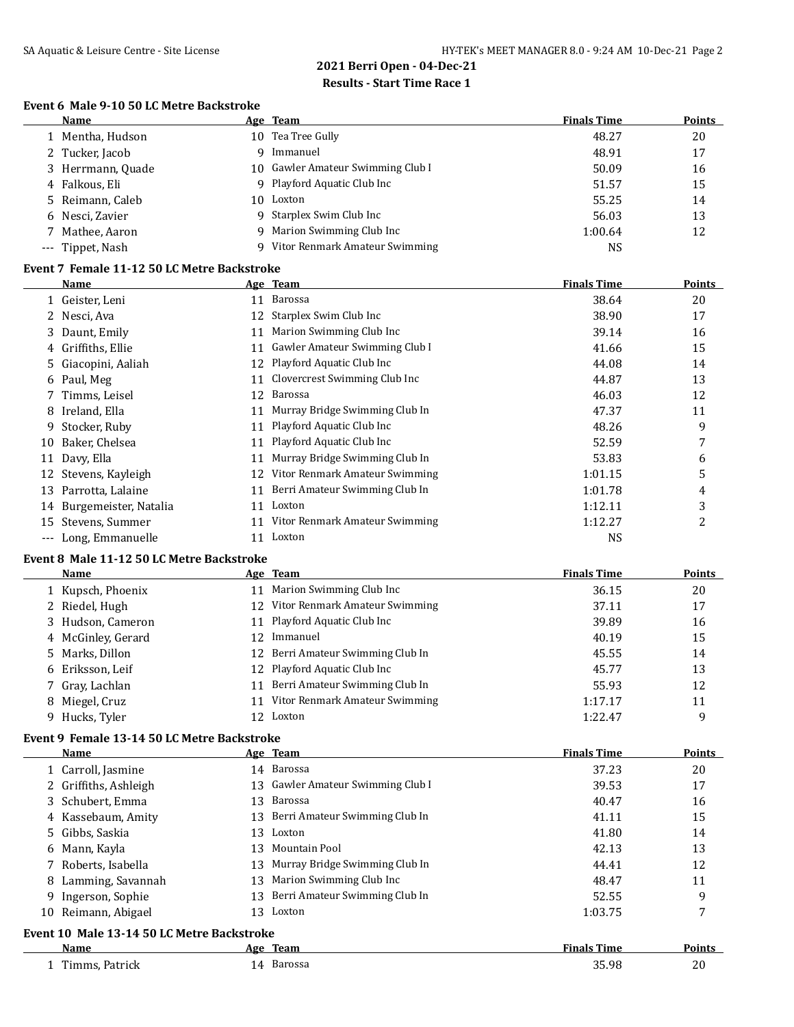j.

## **2021 Berri Open - 04-Dec-21 Results - Start Time Race 1**

#### **Event 6 Male 9-10 50 LC Metre Backstroke**

| Name              |    | Age Team                          | <b>Finals Time</b> | <b>Points</b> |
|-------------------|----|-----------------------------------|--------------------|---------------|
| 1 Mentha, Hudson  |    | 10 Tea Tree Gully                 | 48.27              | 20            |
| 2 Tucker, Jacob   | Q. | Immanuel                          | 48.91              | 17            |
| 3 Herrmann, Quade |    | 10 Gawler Amateur Swimming Club I | 50.09              | 16            |
| 4 Falkous, Eli    |    | 9 Playford Aquatic Club Inc       | 51.57              | 15            |
| 5 Reimann, Caleb  | 10 | Loxton                            | 55.25              | 14            |
| 6 Nesci, Zavier   |    | 9 Starplex Swim Club Inc          | 56.03              | 13            |
| 7 Mathee, Aaron   |    | 9 Marion Swimming Club Inc        | 1:00.64            | 12            |
| --- Tippet, Nash  |    | 9 Vitor Renmark Amateur Swimming  | <b>NS</b>          |               |

### **Event 7 Female 11-12 50 LC Metre Backstroke**

|          | Name                  |    | Age Team                       | <b>Finals Time</b> | <b>Points</b> |
|----------|-----------------------|----|--------------------------------|--------------------|---------------|
|          | 1 Geister, Leni       | 11 | Barossa                        | 38.64              | 20            |
|          | 2 Nesci, Ava          | 12 | Starplex Swim Club Inc         | 38.90              | 17            |
|          | 3 Daunt, Emily        | 11 | Marion Swimming Club Inc       | 39.14              | 16            |
|          | 4 Griffiths, Ellie    | 11 | Gawler Amateur Swimming Club I | 41.66              | 15            |
|          | 5 Giacopini, Aaliah   | 12 | Playford Aquatic Club Inc      | 44.08              | 14            |
|          | 6 Paul, Meg           | 11 | Clovercrest Swimming Club Inc  | 44.87              | 13            |
|          | 7 Timms, Leisel       | 12 | Barossa                        | 46.03              | 12            |
|          | 8 Ireland, Ella       | 11 | Murray Bridge Swimming Club In | 47.37              | 11            |
| 9.       | Stocker, Ruby         | 11 | Playford Aquatic Club Inc      | 48.26              | 9             |
| 10       | Baker, Chelsea        | 11 | Playford Aquatic Club Inc      | 52.59              | 7             |
| 11       | Davy, Ella            | 11 | Murray Bridge Swimming Club In | 53.83              | 6             |
|          | 12 Stevens, Kayleigh  | 12 | Vitor Renmark Amateur Swimming | 1:01.15            | 5             |
| 13       | Parrotta, Lalaine     | 11 | Berri Amateur Swimming Club In | 1:01.78            | 4             |
| 14       | Burgemeister, Natalia | 11 | Loxton                         | 1:12.11            | 3             |
| 15       | Stevens, Summer       | 11 | Vitor Renmark Amateur Swimming | 1:12.27            | 2             |
| $\cdots$ | Long, Emmanuelle      | 11 | Loxton                         | NS                 |               |

### **Event 8 Male 11-12 50 LC Metre Backstroke**

| Name               |    | Age Team                          | <b>Finals Time</b> | <b>Points</b> |
|--------------------|----|-----------------------------------|--------------------|---------------|
| 1 Kupsch, Phoenix  | 11 | Marion Swimming Club Inc          | 36.15              | 20            |
| 2 Riedel, Hugh     |    | 12 Vitor Renmark Amateur Swimming | 37.11              | 17            |
| 3 Hudson, Cameron  |    | 11 Playford Aquatic Club Inc      | 39.89              | 16            |
| 4 McGinley, Gerard |    | 12 Immanuel                       | 40.19              | 15            |
| 5 Marks, Dillon    |    | 12 Berri Amateur Swimming Club In | 45.55              | 14            |
| 6 Eriksson, Leif   |    | 12 Playford Aquatic Club Inc      | 45.77              | 13            |
| 7 Gray, Lachlan    | 11 | Berri Amateur Swimming Club In    | 55.93              | 12            |
| 8 Miegel, Cruz     | 11 | Vitor Renmark Amateur Swimming    | 1:17.17            | 11            |
| 9 Hucks, Tyler     |    | 12 Loxton                         | 1:22.47            | q             |

### **Event 9 Female 13-14 50 LC Metre Backstroke**

|    | Name                                       |     | Age Team                          | <b>Finals Time</b> | <b>Points</b> |  |  |
|----|--------------------------------------------|-----|-----------------------------------|--------------------|---------------|--|--|
|    | 1 Carroll, Jasmine                         |     | 14 Barossa                        | 37.23              | 20            |  |  |
|    | 2 Griffiths, Ashleigh                      |     | 13 Gawler Amateur Swimming Club I | 39.53              | 17            |  |  |
|    | 3 Schubert, Emma                           | 13  | Barossa                           | 40.47              | 16            |  |  |
|    | 4 Kassebaum, Amity                         |     | 13 Berri Amateur Swimming Club In | 41.11              | 15            |  |  |
|    | 5 Gibbs, Saskia                            | 13  | Loxton                            | 41.80              | 14            |  |  |
|    | 6 Mann, Kayla                              | 13  | Mountain Pool                     | 42.13              | 13            |  |  |
|    | 7 Roberts, Isabella                        | 13  | Murray Bridge Swimming Club In    | 44.41              | 12            |  |  |
|    | 8 Lamming, Savannah                        | 13  | Marion Swimming Club Inc          | 48.47              | 11            |  |  |
| 9. | Ingerson, Sophie                           | 13. | Berri Amateur Swimming Club In    | 52.55              | 9             |  |  |
|    | 10 Reimann, Abigael                        | 13. | Loxton                            | 1:03.75            | 7             |  |  |
|    | Event 10 Male 13-14 50 LC Metre Backstroke |     |                                   |                    |               |  |  |
|    | Name                                       |     | Age Team                          | <b>Finals Time</b> | <b>Points</b> |  |  |
|    | Timms, Patrick                             |     | 14 Barossa                        | 35.98              | 20            |  |  |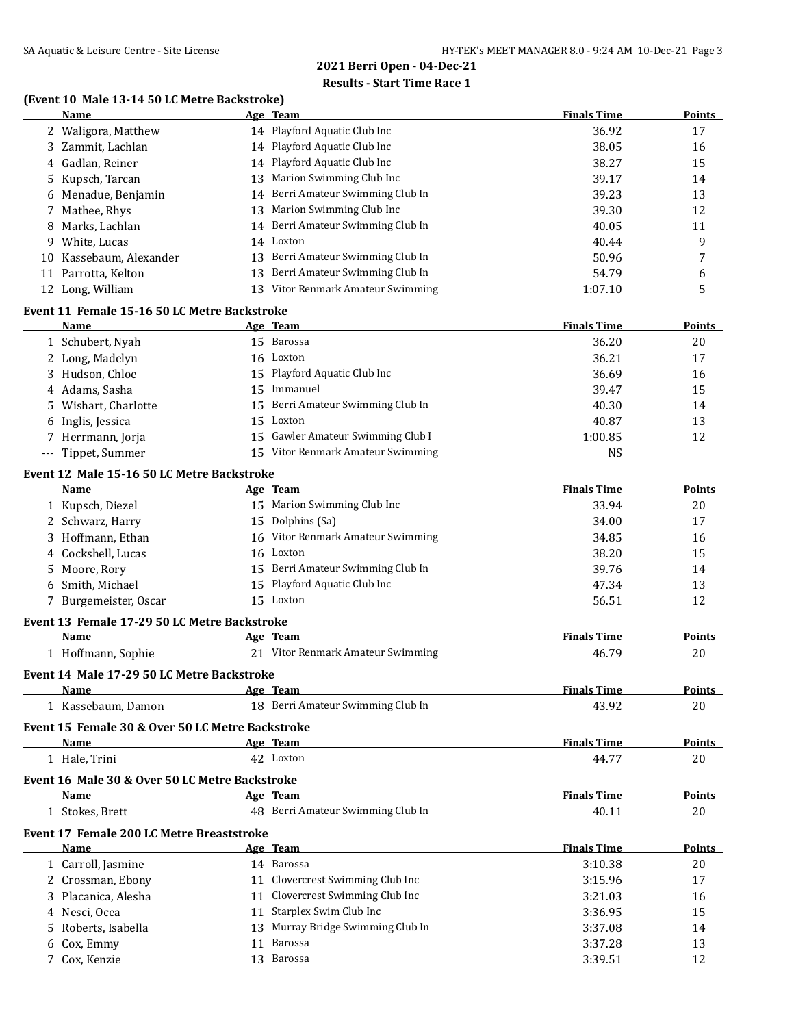# **Results - Start Time Race 1**

### **(Event 10 Male 13-14 50 LC Metre Backstroke)**

|    | Name                 |     | Age Team                          | <b>Finals Time</b> | <b>Points</b> |
|----|----------------------|-----|-----------------------------------|--------------------|---------------|
|    | 2 Waligora, Matthew  |     | 14 Playford Aquatic Club Inc      | 36.92              | 17            |
|    | 3 Zammit, Lachlan    |     | 14 Playford Aquatic Club Inc      | 38.05              | 16            |
|    | 4 Gadlan, Reiner     |     | 14 Playford Aquatic Club Inc      | 38.27              | 15            |
|    | 5 Kupsch, Tarcan     | 13  | Marion Swimming Club Inc          | 39.17              | 14            |
|    | 6 Menadue, Benjamin  |     | 14 Berri Amateur Swimming Club In | 39.23              | 13            |
|    | 7 Mathee, Rhys       | 13  | Marion Swimming Club Inc          | 39.30              | 12            |
|    | 8 Marks, Lachlan     |     | 14 Berri Amateur Swimming Club In | 40.05              | 11            |
|    | 9 White, Lucas       | 14  | Loxton                            | 40.44              | 9             |
| 10 | Kassebaum, Alexander | 13. | Berri Amateur Swimming Club In    | 50.96              | 7             |
|    | 11 Parrotta, Kelton  | 13  | Berri Amateur Swimming Club In    | 54.79              | 6             |
| 12 | Long, William        | 13  | Vitor Renmark Amateur Swimming    | 1:07.10            | 5             |
|    |                      |     |                                   |                    |               |

## **Event 11 Female 15-16 50 LC Metre Backstroke**

| <b>Name</b>          |    | Age Team                          | <b>Finals Time</b> | <b>Points</b> |
|----------------------|----|-----------------------------------|--------------------|---------------|
| 1 Schubert, Nyah     |    | 15 Barossa                        | 36.20              | 20            |
| 2 Long, Madelyn      |    | 16 Loxton                         | 36.21              | 17            |
| 3 Hudson, Chloe      |    | 15 Playford Aquatic Club Inc      | 36.69              | 16            |
| 4 Adams, Sasha       | 15 | Immanuel                          | 39.47              | 15            |
| 5 Wishart, Charlotte |    | 15 Berri Amateur Swimming Club In | 40.30              | 14            |
| 6 Inglis, Jessica    |    | 15 Loxton                         | 40.87              | 13            |
| 7 Herrmann, Jorja    |    | 15 Gawler Amateur Swimming Club I | 1:00.85            | 12            |
| --- Tippet, Summer   |    | 15 Vitor Renmark Amateur Swimming | NS                 |               |

### **Event 12 Male 15-16 50 LC Metre Backstroke**

| Name                  | Age Team                          | <b>Finals Time</b> | <b>Points</b> |
|-----------------------|-----------------------------------|--------------------|---------------|
| 1 Kupsch, Diezel      | 15 Marion Swimming Club Inc       | 33.94              | 20            |
| 2 Schwarz, Harry      | 15 Dolphins (Sa)                  | 34.00              | 17            |
| 3 Hoffmann, Ethan     | 16 Vitor Renmark Amateur Swimming | 34.85              | 16            |
| 4 Cockshell, Lucas    | 16 Loxton                         | 38.20              | 15            |
| 5 Moore, Rory         | 15 Berri Amateur Swimming Club In | 39.76              | 14            |
| 6 Smith. Michael      | 15 Playford Aquatic Club Inc      | 47.34              | 13            |
| 7 Burgemeister, Oscar | 15 Loxton                         | 56.51              | 12            |

## **Event 13 Female 17-29 50 LC Metre Backstroke**

| Name                                             | Age Team                             | <b>Finals Time</b> | Points        |
|--------------------------------------------------|--------------------------------------|--------------------|---------------|
| 1 Hoffmann, Sophie                               | Vitor Renmark Amateur Swimming<br>21 | 46.79              | 20            |
| Event 14 Male 17-29 50 LC Metre Backstroke       |                                      |                    |               |
| Name                                             | Age Team                             | <b>Finals Time</b> | Points        |
| Kassebaum, Damon                                 | Berri Amateur Swimming Club In<br>18 | 43.92              | 20            |
| Event 15 Female 30 & Over 50 LC Metre Backstroke |                                      |                    |               |
| Name                                             | Age Team                             | <b>Finals Time</b> | Points        |
| 1 Hale, Trini                                    | 42 Loxton                            | 44.77              | 20            |
| Event 16 Male 30 & Over 50 LC Metre Backstroke   |                                      |                    |               |
| Name                                             | Age Team                             | <b>Finals Time</b> | <b>Points</b> |
| 1 Stokes, Brett                                  | 48 Berri Amateur Swimming Club In    | 40.11              | 20            |
| Event 17 Female 200 LC Metre Breaststroke        |                                      |                    |               |
| Name                                             | Age Team                             | <b>Finals Time</b> | Points        |
| 1 Carroll, Jasmine                               | Barossa<br>14                        | 3:10.38            | 20            |
| Crossman, Ebony                                  | Clovercrest Swimming Club Inc<br>11  | 3:15.96            | 17            |
| Placanica, Alesha<br>3                           | Clovercrest Swimming Club Inc<br>11  | 3:21.03            | 16            |
| Nesci, Ocea                                      | Starplex Swim Club Inc<br>11         | 3:36.95            | 15            |
| Roberts, Isabella<br>5.                          | Murray Bridge Swimming Club In<br>13 | 3:37.08            | 14            |
| 6 Cox, Emmy                                      | Barossa<br>11                        | 3:37.28            | 13            |

Cox, Kenzie 13 Barossa 3:39.51 12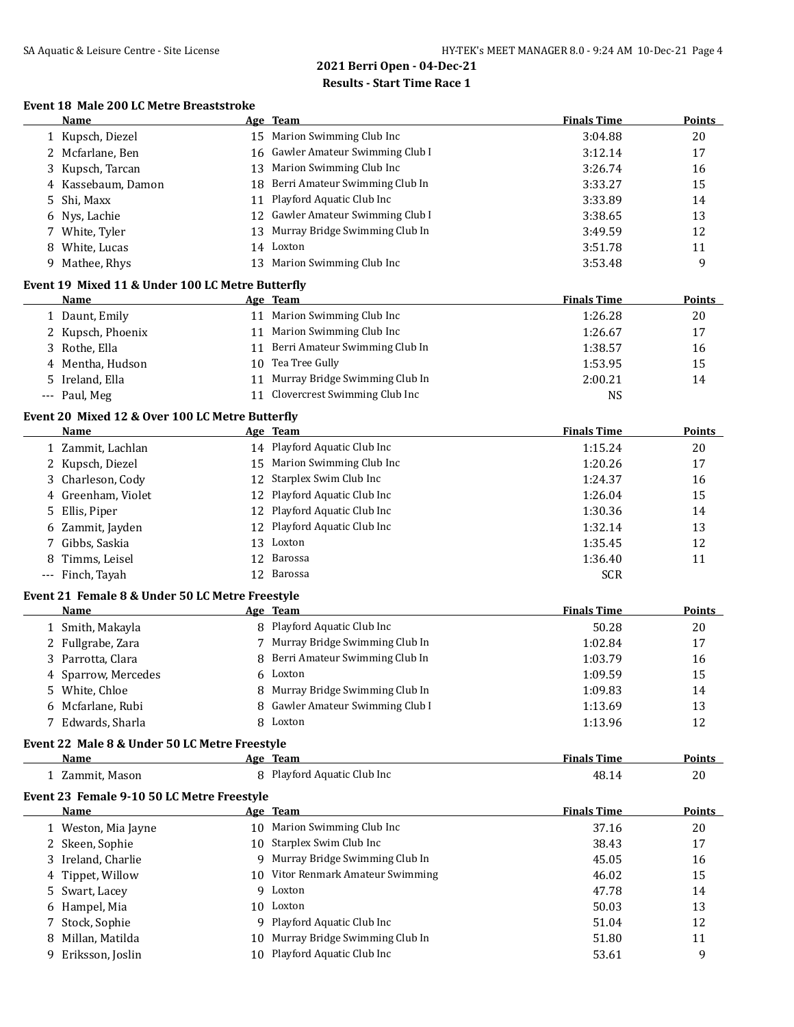### **Event 18 Male 200 LC Metre Breaststroke**

|        | Name                                                    |    | Age Team                                     | <b>Finals Time</b>    | <b>Points</b> |
|--------|---------------------------------------------------------|----|----------------------------------------------|-----------------------|---------------|
|        | 1 Kupsch, Diezel                                        |    | 15 Marion Swimming Club Inc                  | 3:04.88               | 20            |
|        | 2 Mcfarlane, Ben                                        |    | 16 Gawler Amateur Swimming Club I            | 3:12.14               | 17            |
| 3      | Kupsch, Tarcan                                          | 13 | Marion Swimming Club Inc                     | 3:26.74               | 16            |
|        | 4 Kassebaum, Damon                                      | 18 | Berri Amateur Swimming Club In               | 3:33.27               | 15            |
| 5.     | Shi, Maxx                                               | 11 | Playford Aquatic Club Inc                    | 3:33.89               | 14            |
| 6      | Nys, Lachie                                             | 12 | Gawler Amateur Swimming Club I               | 3:38.65               | 13            |
|        | 7 White, Tyler                                          | 13 | Murray Bridge Swimming Club In               | 3:49.59               | 12            |
| 8      | White, Lucas                                            | 14 | Loxton                                       | 3:51.78               | 11            |
|        | 9 Mathee, Rhys                                          |    | 13 Marion Swimming Club Inc                  | 3:53.48               | 9             |
|        | Event 19 Mixed 11 & Under 100 LC Metre Butterfly        |    |                                              |                       |               |
|        | Name                                                    |    | Age Team                                     | <b>Finals Time</b>    | <b>Points</b> |
|        | 1 Daunt, Emily                                          |    | 11 Marion Swimming Club Inc                  | 1:26.28               | 20            |
|        | 2 Kupsch, Phoenix                                       |    | 11 Marion Swimming Club Inc                  | 1:26.67               | 17            |
|        | 3 Rothe, Ella                                           | 11 | Berri Amateur Swimming Club In               | 1:38.57               | 16            |
|        | 4 Mentha, Hudson                                        |    | 10 Tea Tree Gully                            | 1:53.95               | 15            |
|        | 5 Ireland, Ella                                         | 11 | Murray Bridge Swimming Club In               | 2:00.21               | 14            |
|        | --- Paul, Meg                                           |    | 11 Clovercrest Swimming Club Inc             | <b>NS</b>             |               |
|        | Event 20 Mixed 12 & Over 100 LC Metre Butterfly         |    |                                              |                       |               |
|        | <b>Name</b>                                             |    | Age Team                                     | <b>Finals Time</b>    | <b>Points</b> |
|        | 1 Zammit, Lachlan                                       |    | 14 Playford Aquatic Club Inc                 | 1:15.24               | 20            |
|        | 2 Kupsch, Diezel                                        |    | 15 Marion Swimming Club Inc                  | 1:20.26               | 17            |
| 3      | Charleson, Cody                                         | 12 | Starplex Swim Club Inc                       | 1:24.37               | 16            |
|        | 4 Greenham, Violet                                      | 12 | Playford Aquatic Club Inc                    | 1:26.04               | 15            |
| 5.     | Ellis, Piper                                            | 12 | Playford Aquatic Club Inc                    | 1:30.36               | 14            |
|        | Zammit, Jayden                                          | 12 | Playford Aquatic Club Inc                    | 1:32.14               | 13            |
| 6<br>7 | Gibbs, Saskia                                           | 13 | Loxton                                       | 1:35.45               | 12            |
|        | Timms, Leisel                                           | 12 | Barossa                                      |                       |               |
| 8      | --- Finch, Tayah                                        |    | 12 Barossa                                   | 1:36.40<br><b>SCR</b> | 11            |
|        |                                                         |    |                                              |                       |               |
|        | Event 21 Female 8 & Under 50 LC Metre Freestyle<br>Name |    | Age Team                                     | <b>Finals Time</b>    | <b>Points</b> |
|        | 1 Smith, Makayla                                        |    | 8 Playford Aquatic Club Inc                  | 50.28                 | 20            |
|        | 2 Fullgrabe, Zara                                       |    | 7 Murray Bridge Swimming Club In             | 1:02.84               | 17            |
|        | 3 Parrotta, Clara                                       | 8  | Berri Amateur Swimming Club In               | 1:03.79               | 16            |
|        |                                                         |    | Loxton                                       |                       |               |
|        | 4 Sparrow, Mercedes                                     | 6  |                                              | 1:09.59               | 15            |
|        | 5 White, Chloe<br>6 Mcfarlane, Rubi                     | 8  | Murray Bridge Swimming Club In               | 1:09.83               | 14            |
|        |                                                         |    | 8 Gawler Amateur Swimming Club I<br>8 Loxton | 1:13.69               | 13            |
|        | 7 Edwards, Sharla                                       |    |                                              | 1:13.96               | 12            |
|        | Event 22 Male 8 & Under 50 LC Metre Freestyle           |    |                                              |                       |               |
|        | <b>Name</b>                                             |    | Age Team                                     | <b>Finals Time</b>    | <b>Points</b> |
|        | 1 Zammit, Mason                                         |    | 8 Playford Aquatic Club Inc                  | 48.14                 | 20            |
|        | Event 23 Female 9-10 50 LC Metre Freestyle              |    |                                              |                       |               |
|        | <b>Name</b>                                             |    | Age Team                                     | <b>Finals Time</b>    | <b>Points</b> |
|        | 1 Weston, Mia Jayne                                     |    | 10 Marion Swimming Club Inc                  | 37.16                 | 20            |
|        | 2 Skeen, Sophie                                         |    | 10 Starplex Swim Club Inc                    | 38.43                 | 17            |
|        | 3 Ireland, Charlie                                      |    | 9 Murray Bridge Swimming Club In             | 45.05                 | 16            |
|        | 4 Tippet, Willow                                        |    | 10 Vitor Renmark Amateur Swimming            | 46.02                 | 15            |
| 5.     | Swart, Lacey                                            | 9  | Loxton                                       | 47.78                 | 14            |
| 6      | Hampel, Mia                                             |    | 10 Loxton                                    | 50.03                 | 13            |
| 7      | Stock, Sophie                                           |    | 9 Playford Aquatic Club Inc                  | 51.04                 | 12            |
| 8      | Millan, Matilda                                         |    | 10 Murray Bridge Swimming Club In            | 51.80                 | 11            |
|        | 9 Eriksson, Joslin                                      |    | 10 Playford Aquatic Club Inc                 | 53.61                 | 9             |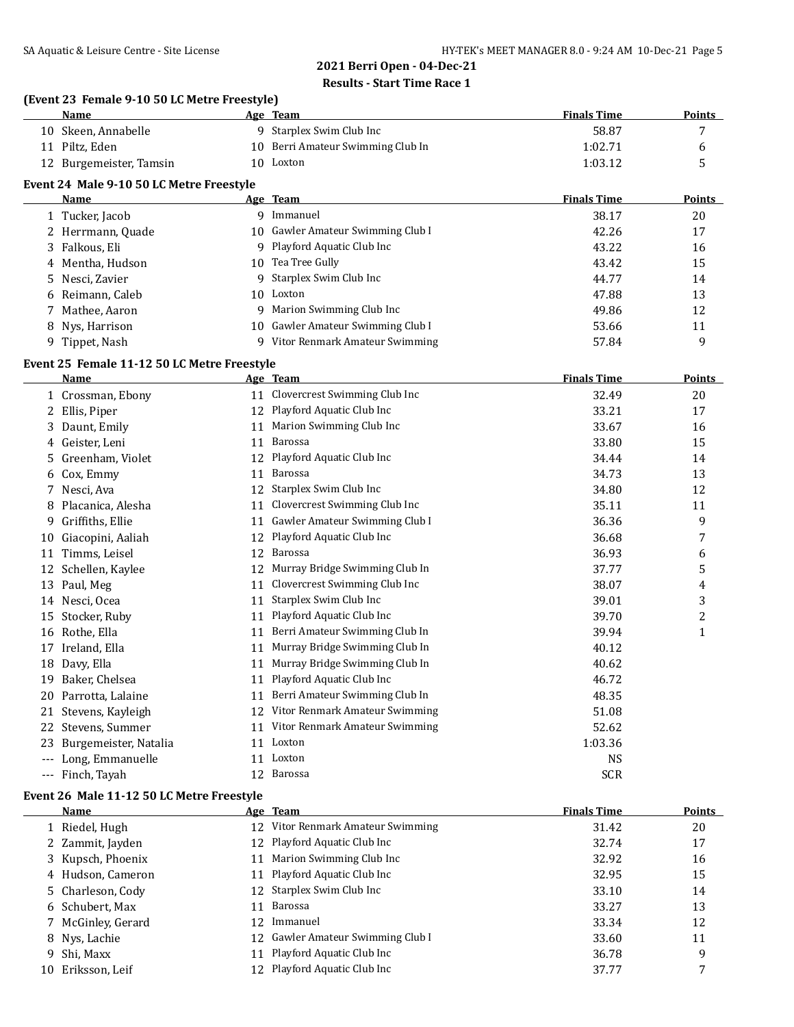### **(Event 23 Female 9-10 50 LC Metre Freestyle)**

| Name                    | Age Team                          | <b>Finals Time</b> | <b>Points</b> |
|-------------------------|-----------------------------------|--------------------|---------------|
| 10 Skeen, Annabelle     | 9 Starplex Swim Club Inc          | 58.87              |               |
| 11 Piltz, Eden          | 10 Berri Amateur Swimming Club In | 1:02.71            |               |
| 12 Burgemeister, Tamsin | 10 Loxton                         | 1:03.12            |               |

#### **Event 24 Male 9-10 50 LC Metre Freestyle**

| Name              | Age Team                          | <b>Finals Time</b> | <b>Points</b> |
|-------------------|-----------------------------------|--------------------|---------------|
| 1 Tucker, Jacob   | Immanuel<br>g                     | 38.17              | 20            |
| 2 Herrmann, Quade | 10 Gawler Amateur Swimming Club I | 42.26              | 17            |
| 3 Falkous, Eli    | 9 Playford Aquatic Club Inc       | 43.22              | 16            |
| 4 Mentha, Hudson  | 10 Tea Tree Gully                 | 43.42              | 15            |
| 5 Nesci, Zavier   | 9 Starplex Swim Club Inc          | 44.77              | 14            |
| 6 Reimann, Caleb  | 10 Loxton                         | 47.88              | 13            |
| 7 Mathee, Aaron   | Marion Swimming Club Inc<br>9     | 49.86              | 12            |
| 8 Nys, Harrison   | 10 Gawler Amateur Swimming Club I | 53.66              | 11            |
| 9 Tippet, Nash    | Vitor Renmark Amateur Swimming    | 57.84              | 9             |

### **Event 25 Female 11-12 50 LC Metre Freestyle**

|                     | <b>Name</b>           |    | Age Team                       | <b>Finals Time</b> | <b>Points</b>  |
|---------------------|-----------------------|----|--------------------------------|--------------------|----------------|
|                     | Crossman, Ebony       | 11 | Clovercrest Swimming Club Inc  | 32.49              | 20             |
|                     | 2 Ellis, Piper        | 12 | Playford Aquatic Club Inc      | 33.21              | 17             |
| 3.                  | Daunt, Emily          | 11 | Marion Swimming Club Inc       | 33.67              | 16             |
| 4                   | Geister, Leni         | 11 | Barossa                        | 33.80              | 15             |
| 5.                  | Greenham, Violet      | 12 | Playford Aquatic Club Inc      | 34.44              | 14             |
| 6                   | Cox, Emmy             | 11 | Barossa                        | 34.73              | 13             |
|                     | Nesci, Ava            | 12 | Starplex Swim Club Inc         | 34.80              | 12             |
| 8                   | Placanica, Alesha     | 11 | Clovercrest Swimming Club Inc  | 35.11              | 11             |
| 9                   | Griffiths, Ellie      | 11 | Gawler Amateur Swimming Club I | 36.36              | 9              |
| 10                  | Giacopini, Aaliah     | 12 | Playford Aquatic Club Inc      | 36.68              | 7              |
| 11                  | Timms, Leisel         | 12 | Barossa                        | 36.93              | 6              |
| 12                  | Schellen, Kaylee      | 12 | Murray Bridge Swimming Club In | 37.77              | 5              |
| 13                  | Paul, Meg             | 11 | Clovercrest Swimming Club Inc  | 38.07              | 4              |
| 14                  | Nesci, Ocea           | 11 | Starplex Swim Club Inc         | 39.01              | 3              |
| 15                  | Stocker, Ruby         | 11 | Playford Aquatic Club Inc      | 39.70              | $\overline{c}$ |
| 16                  | Rothe, Ella           | 11 | Berri Amateur Swimming Club In | 39.94              | $\mathbf{1}$   |
| 17                  | Ireland, Ella         | 11 | Murray Bridge Swimming Club In | 40.12              |                |
| 18                  | Davy, Ella            | 11 | Murray Bridge Swimming Club In | 40.62              |                |
| 19                  | Baker, Chelsea        | 11 | Playford Aquatic Club Inc      | 46.72              |                |
| 20                  | Parrotta, Lalaine     | 11 | Berri Amateur Swimming Club In | 48.35              |                |
| 21                  | Stevens, Kayleigh     | 12 | Vitor Renmark Amateur Swimming | 51.08              |                |
| 22                  | Stevens, Summer       | 11 | Vitor Renmark Amateur Swimming | 52.62              |                |
| 23                  | Burgemeister, Natalia | 11 | Loxton                         | 1:03.36            |                |
|                     | Long, Emmanuelle      | 11 | Loxton                         | <b>NS</b>          |                |
| $\qquad \qquad - -$ | Finch, Tayah          | 12 | Barossa                        | <b>SCR</b>         |                |
|                     |                       |    |                                |                    |                |

### **Event 26 Male 11-12 50 LC Metre Freestyle**

|    | <b>Name</b>        |    | Age Team                          | <b>Finals Time</b> | Points |
|----|--------------------|----|-----------------------------------|--------------------|--------|
|    | 1 Riedel, Hugh     |    | 12 Vitor Renmark Amateur Swimming | 31.42              | 20     |
|    | 2 Zammit, Jayden   |    | 12 Playford Aquatic Club Inc      | 32.74              | 17     |
|    | 3 Kupsch, Phoenix  |    | 11 Marion Swimming Club Inc       | 32.92              | 16     |
|    | 4 Hudson, Cameron  |    | 11 Playford Aquatic Club Inc      | 32.95              | 15     |
|    | 5 Charleson, Cody  |    | 12 Starplex Swim Club Inc         | 33.10              | 14     |
|    | 6 Schubert, Max    |    | 11 Barossa                        | 33.27              | 13     |
|    | 7 McGinley, Gerard | 12 | Immanuel                          | 33.34              | 12     |
|    | 8 Nys, Lachie      |    | 12 Gawler Amateur Swimming Club I | 33.60              | 11     |
|    | 9 Shi, Maxx        |    | 11 Playford Aquatic Club Inc      | 36.78              | 9      |
| 10 | Eriksson, Leif     |    | 12 Playford Aquatic Club Inc      | 37.77              |        |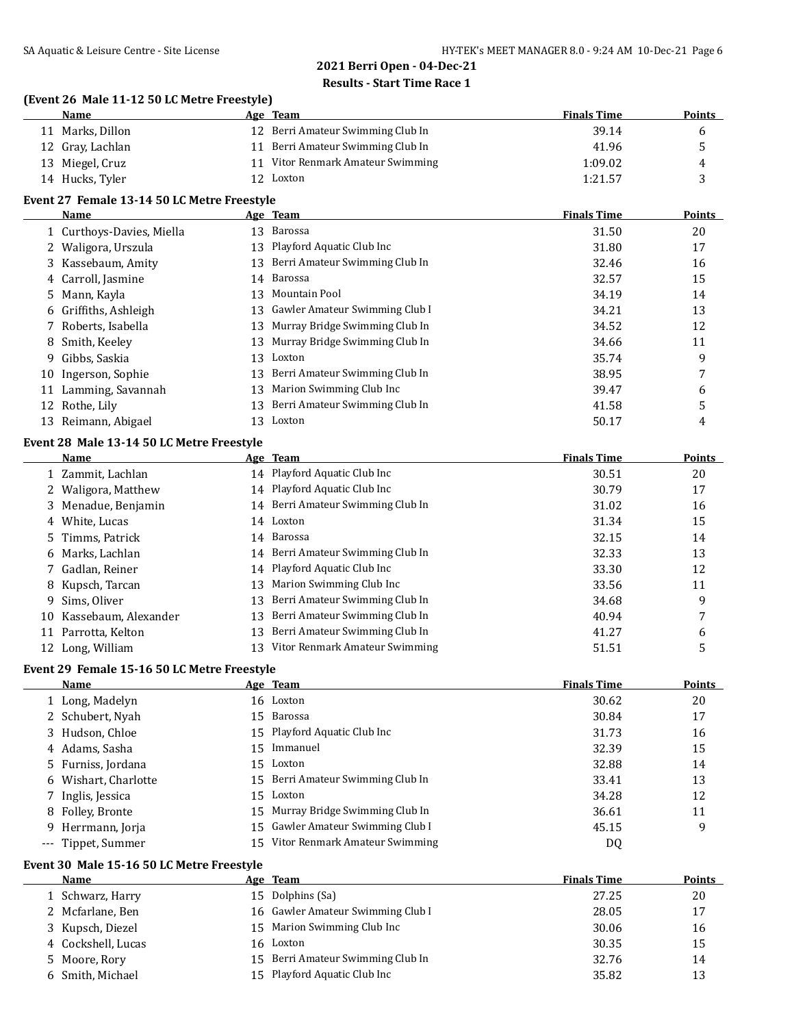### **(Event 26 Male 11-12 50 LC Metre Freestyle)**

| Name             | Age Team                          | <b>Finals Time</b> | <b>Points</b> |
|------------------|-----------------------------------|--------------------|---------------|
| 11 Marks, Dillon | 12 Berri Amateur Swimming Club In | 39.14              |               |
| 12 Gray, Lachlan | 11 Berri Amateur Swimming Club In | 41.96              |               |
| 13 Miegel, Cruz  | Vitor Renmark Amateur Swimming    | 1:09.02            | 4             |
| 14 Hucks, Tyler  | 12 Loxton                         | 1:21.57            |               |

### **Event 27 Female 13-14 50 LC Metre Freestyle**

|    | <b>Name</b>               |     | Age Team                          | <b>Finals Time</b> | Points |
|----|---------------------------|-----|-----------------------------------|--------------------|--------|
|    | 1 Curthoys-Davies, Miella | 13  | Barossa                           | 31.50              | 20     |
|    | 2 Waligora, Urszula       |     | 13 Playford Aquatic Club Inc      | 31.80              | 17     |
|    | 3 Kassebaum, Amity        | 13  | Berri Amateur Swimming Club In    | 32.46              | 16     |
|    | 4 Carroll, Jasmine        |     | 14 Barossa                        | 32.57              | 15     |
|    | 5 Mann, Kayla             |     | 13 Mountain Pool                  | 34.19              | 14     |
|    | 6 Griffiths, Ashleigh     |     | 13 Gawler Amateur Swimming Club I | 34.21              | 13     |
|    | 7 Roberts, Isabella       | 13  | Murray Bridge Swimming Club In    | 34.52              | 12     |
|    | 8 Smith, Keeley           |     | 13 Murray Bridge Swimming Club In | 34.66              | 11     |
| 9. | Gibbs, Saskia             | 13  | Loxton                            | 35.74              | 9      |
|    | 10 Ingerson, Sophie       | 13- | Berri Amateur Swimming Club In    | 38.95              | 7      |
| 11 | Lamming, Savannah         |     | 13 Marion Swimming Club Inc       | 39.47              | 6      |
|    | 12 Rothe, Lily            | 13  | Berri Amateur Swimming Club In    | 41.58              | 5      |
| 13 | Reimann, Abigael          | 13  | Loxton                            | 50.17              | 4      |

### **Event 28 Male 13-14 50 LC Metre Freestyle**

|    | Name                    |     | Age Team                          | <b>Finals Time</b> | <b>Points</b> |
|----|-------------------------|-----|-----------------------------------|--------------------|---------------|
|    | 1 Zammit, Lachlan       |     | 14 Playford Aquatic Club Inc      | 30.51              | 20            |
|    | 2 Waligora, Matthew     |     | 14 Playford Aquatic Club Inc      | 30.79              | 17            |
|    | 3 Menadue, Benjamin     |     | 14 Berri Amateur Swimming Club In | 31.02              | 16            |
|    | 4 White, Lucas          |     | 14 Loxton                         | 31.34              | 15            |
|    | 5 Timms, Patrick        |     | 14 Barossa                        | 32.15              | 14            |
|    | 6 Marks, Lachlan        |     | 14 Berri Amateur Swimming Club In | 32.33              | 13            |
|    | 7 Gadlan, Reiner        |     | 14 Playford Aquatic Club Inc      | 33.30              | 12            |
|    | 8 Kupsch, Tarcan        | 13. | Marion Swimming Club Inc          | 33.56              | 11            |
|    | 9 Sims, Oliver          | 13. | Berri Amateur Swimming Club In    | 34.68              | 9             |
|    | 10 Kassebaum, Alexander |     | 13 Berri Amateur Swimming Club In | 40.94              | 7             |
| 11 | Parrotta, Kelton        | 13. | Berri Amateur Swimming Club In    | 41.27              | 6             |
|    | 12 Long, William        | 13. | Vitor Renmark Amateur Swimming    | 51.51              | 5             |

### **Event 29 Female 15-16 50 LC Metre Freestyle**

| <b>Name</b>          |                 | Age Team                          | <b>Finals Time</b> | <b>Points</b> |
|----------------------|-----------------|-----------------------------------|--------------------|---------------|
| 1 Long, Madelyn      |                 | 16 Loxton                         | 30.62              | 20            |
| 2 Schubert, Nyah     |                 | 15 Barossa                        | 30.84              | 17            |
| 3 Hudson, Chloe      |                 | 15 Playford Aquatic Club Inc      | 31.73              | 16            |
| 4 Adams, Sasha       | 15 <sup>7</sup> | Immanuel                          | 32.39              | 15            |
| 5 Furniss, Jordana   |                 | 15 Loxton                         | 32.88              | 14            |
| 6 Wishart, Charlotte |                 | 15 Berri Amateur Swimming Club In | 33.41              | 13            |
| 7 Inglis, Jessica    |                 | 15 Loxton                         | 34.28              | 12            |
| 8 Folley, Bronte     |                 | 15 Murray Bridge Swimming Club In | 36.61              | 11            |
| 9 Herrmann, Jorja    |                 | 15 Gawler Amateur Swimming Club I | 45.15              | 9             |
| --- Tippet, Summer   | 15              | Vitor Renmark Amateur Swimming    | DQ                 |               |

# **Event 30 Male 15-16 50 LC Metre Freestyle**

| <b>Name</b>        |  | <b>Finals Time</b>                                                                                                                                                                 | <b>Points</b> |
|--------------------|--|------------------------------------------------------------------------------------------------------------------------------------------------------------------------------------|---------------|
| 1 Schwarz, Harry   |  | 27.25                                                                                                                                                                              | 20            |
| 2 Mcfarlane, Ben   |  | 28.05                                                                                                                                                                              | 17            |
| 3 Kupsch, Diezel   |  | 30.06                                                                                                                                                                              | 16            |
| 4 Cockshell, Lucas |  | 30.35                                                                                                                                                                              | 15            |
| 5 Moore, Rory      |  | 32.76                                                                                                                                                                              | 14            |
| 6 Smith, Michael   |  | 35.82                                                                                                                                                                              | 13            |
|                    |  | Age Team<br>15 Dolphins (Sa)<br>16 Gawler Amateur Swimming Club I<br>15 Marion Swimming Club Inc<br>16 Loxton<br>15 Berri Amateur Swimming Club In<br>15 Playford Aquatic Club Inc |               |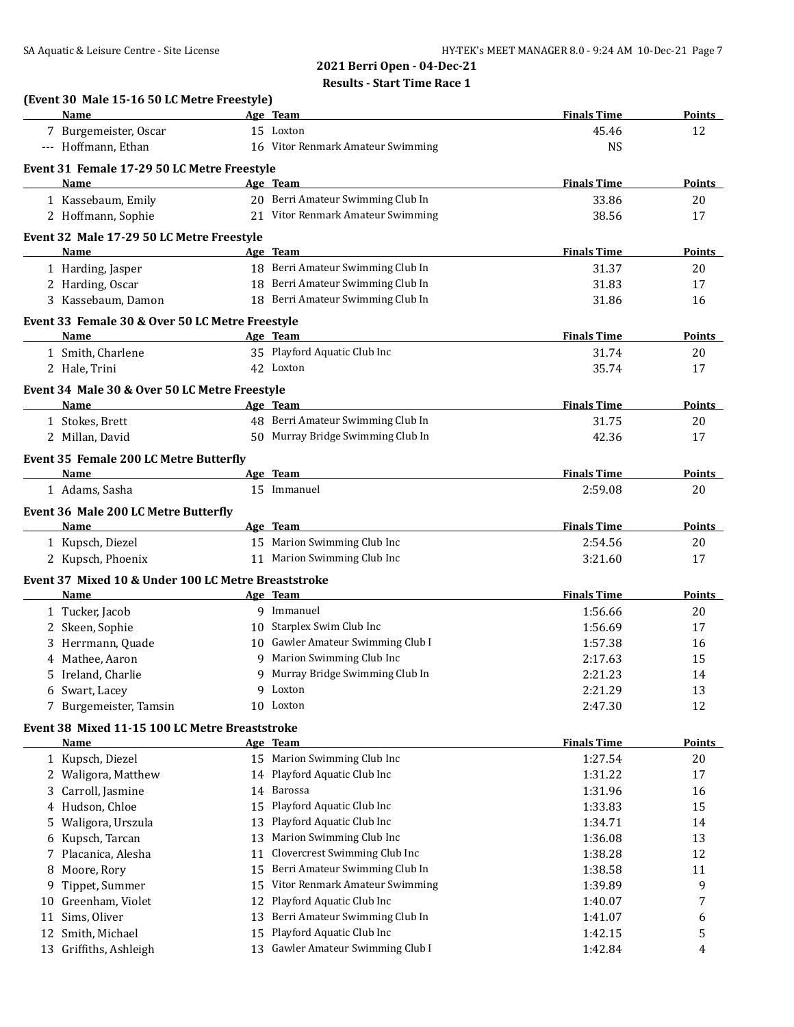| (Event 30 Male 15-16 50 LC Metre Freestyle) |                                                                                                                                                           |                                                                                                                                                                                                                                                                                                                                                                                                                                                                                                                                                                                                                                                                                                                                                                                                                                                                                                                                                                                                                                                                                                                                                                                                                                                                                                                                                                                                          |                                                                                                                                                                                                                                                                                                                                                                                                                                     |
|---------------------------------------------|-----------------------------------------------------------------------------------------------------------------------------------------------------------|----------------------------------------------------------------------------------------------------------------------------------------------------------------------------------------------------------------------------------------------------------------------------------------------------------------------------------------------------------------------------------------------------------------------------------------------------------------------------------------------------------------------------------------------------------------------------------------------------------------------------------------------------------------------------------------------------------------------------------------------------------------------------------------------------------------------------------------------------------------------------------------------------------------------------------------------------------------------------------------------------------------------------------------------------------------------------------------------------------------------------------------------------------------------------------------------------------------------------------------------------------------------------------------------------------------------------------------------------------------------------------------------------------|-------------------------------------------------------------------------------------------------------------------------------------------------------------------------------------------------------------------------------------------------------------------------------------------------------------------------------------------------------------------------------------------------------------------------------------|
|                                             |                                                                                                                                                           |                                                                                                                                                                                                                                                                                                                                                                                                                                                                                                                                                                                                                                                                                                                                                                                                                                                                                                                                                                                                                                                                                                                                                                                                                                                                                                                                                                                                          | Points                                                                                                                                                                                                                                                                                                                                                                                                                              |
|                                             |                                                                                                                                                           |                                                                                                                                                                                                                                                                                                                                                                                                                                                                                                                                                                                                                                                                                                                                                                                                                                                                                                                                                                                                                                                                                                                                                                                                                                                                                                                                                                                                          | 12                                                                                                                                                                                                                                                                                                                                                                                                                                  |
|                                             |                                                                                                                                                           |                                                                                                                                                                                                                                                                                                                                                                                                                                                                                                                                                                                                                                                                                                                                                                                                                                                                                                                                                                                                                                                                                                                                                                                                                                                                                                                                                                                                          |                                                                                                                                                                                                                                                                                                                                                                                                                                     |
|                                             |                                                                                                                                                           |                                                                                                                                                                                                                                                                                                                                                                                                                                                                                                                                                                                                                                                                                                                                                                                                                                                                                                                                                                                                                                                                                                                                                                                                                                                                                                                                                                                                          |                                                                                                                                                                                                                                                                                                                                                                                                                                     |
|                                             |                                                                                                                                                           |                                                                                                                                                                                                                                                                                                                                                                                                                                                                                                                                                                                                                                                                                                                                                                                                                                                                                                                                                                                                                                                                                                                                                                                                                                                                                                                                                                                                          | Points                                                                                                                                                                                                                                                                                                                                                                                                                              |
|                                             |                                                                                                                                                           |                                                                                                                                                                                                                                                                                                                                                                                                                                                                                                                                                                                                                                                                                                                                                                                                                                                                                                                                                                                                                                                                                                                                                                                                                                                                                                                                                                                                          | 20                                                                                                                                                                                                                                                                                                                                                                                                                                  |
|                                             |                                                                                                                                                           |                                                                                                                                                                                                                                                                                                                                                                                                                                                                                                                                                                                                                                                                                                                                                                                                                                                                                                                                                                                                                                                                                                                                                                                                                                                                                                                                                                                                          | 17                                                                                                                                                                                                                                                                                                                                                                                                                                  |
|                                             |                                                                                                                                                           |                                                                                                                                                                                                                                                                                                                                                                                                                                                                                                                                                                                                                                                                                                                                                                                                                                                                                                                                                                                                                                                                                                                                                                                                                                                                                                                                                                                                          |                                                                                                                                                                                                                                                                                                                                                                                                                                     |
|                                             |                                                                                                                                                           | <b>Finals Time</b>                                                                                                                                                                                                                                                                                                                                                                                                                                                                                                                                                                                                                                                                                                                                                                                                                                                                                                                                                                                                                                                                                                                                                                                                                                                                                                                                                                                       | Points                                                                                                                                                                                                                                                                                                                                                                                                                              |
|                                             |                                                                                                                                                           | 31.37                                                                                                                                                                                                                                                                                                                                                                                                                                                                                                                                                                                                                                                                                                                                                                                                                                                                                                                                                                                                                                                                                                                                                                                                                                                                                                                                                                                                    | 20                                                                                                                                                                                                                                                                                                                                                                                                                                  |
|                                             |                                                                                                                                                           |                                                                                                                                                                                                                                                                                                                                                                                                                                                                                                                                                                                                                                                                                                                                                                                                                                                                                                                                                                                                                                                                                                                                                                                                                                                                                                                                                                                                          | 17                                                                                                                                                                                                                                                                                                                                                                                                                                  |
|                                             |                                                                                                                                                           | 31.86                                                                                                                                                                                                                                                                                                                                                                                                                                                                                                                                                                                                                                                                                                                                                                                                                                                                                                                                                                                                                                                                                                                                                                                                                                                                                                                                                                                                    | 16                                                                                                                                                                                                                                                                                                                                                                                                                                  |
|                                             |                                                                                                                                                           |                                                                                                                                                                                                                                                                                                                                                                                                                                                                                                                                                                                                                                                                                                                                                                                                                                                                                                                                                                                                                                                                                                                                                                                                                                                                                                                                                                                                          |                                                                                                                                                                                                                                                                                                                                                                                                                                     |
|                                             |                                                                                                                                                           | <b>Finals Time</b>                                                                                                                                                                                                                                                                                                                                                                                                                                                                                                                                                                                                                                                                                                                                                                                                                                                                                                                                                                                                                                                                                                                                                                                                                                                                                                                                                                                       | <b>Points</b>                                                                                                                                                                                                                                                                                                                                                                                                                       |
|                                             |                                                                                                                                                           | 31.74                                                                                                                                                                                                                                                                                                                                                                                                                                                                                                                                                                                                                                                                                                                                                                                                                                                                                                                                                                                                                                                                                                                                                                                                                                                                                                                                                                                                    | 20                                                                                                                                                                                                                                                                                                                                                                                                                                  |
|                                             |                                                                                                                                                           | 35.74                                                                                                                                                                                                                                                                                                                                                                                                                                                                                                                                                                                                                                                                                                                                                                                                                                                                                                                                                                                                                                                                                                                                                                                                                                                                                                                                                                                                    | 17                                                                                                                                                                                                                                                                                                                                                                                                                                  |
|                                             |                                                                                                                                                           |                                                                                                                                                                                                                                                                                                                                                                                                                                                                                                                                                                                                                                                                                                                                                                                                                                                                                                                                                                                                                                                                                                                                                                                                                                                                                                                                                                                                          |                                                                                                                                                                                                                                                                                                                                                                                                                                     |
|                                             |                                                                                                                                                           | <b>Finals Time</b>                                                                                                                                                                                                                                                                                                                                                                                                                                                                                                                                                                                                                                                                                                                                                                                                                                                                                                                                                                                                                                                                                                                                                                                                                                                                                                                                                                                       | <b>Points</b>                                                                                                                                                                                                                                                                                                                                                                                                                       |
|                                             |                                                                                                                                                           | 31.75                                                                                                                                                                                                                                                                                                                                                                                                                                                                                                                                                                                                                                                                                                                                                                                                                                                                                                                                                                                                                                                                                                                                                                                                                                                                                                                                                                                                    | 20                                                                                                                                                                                                                                                                                                                                                                                                                                  |
|                                             |                                                                                                                                                           | 42.36                                                                                                                                                                                                                                                                                                                                                                                                                                                                                                                                                                                                                                                                                                                                                                                                                                                                                                                                                                                                                                                                                                                                                                                                                                                                                                                                                                                                    | 17                                                                                                                                                                                                                                                                                                                                                                                                                                  |
|                                             |                                                                                                                                                           |                                                                                                                                                                                                                                                                                                                                                                                                                                                                                                                                                                                                                                                                                                                                                                                                                                                                                                                                                                                                                                                                                                                                                                                                                                                                                                                                                                                                          |                                                                                                                                                                                                                                                                                                                                                                                                                                     |
|                                             |                                                                                                                                                           |                                                                                                                                                                                                                                                                                                                                                                                                                                                                                                                                                                                                                                                                                                                                                                                                                                                                                                                                                                                                                                                                                                                                                                                                                                                                                                                                                                                                          | <b>Points</b>                                                                                                                                                                                                                                                                                                                                                                                                                       |
|                                             |                                                                                                                                                           | 2:59.08                                                                                                                                                                                                                                                                                                                                                                                                                                                                                                                                                                                                                                                                                                                                                                                                                                                                                                                                                                                                                                                                                                                                                                                                                                                                                                                                                                                                  | 20                                                                                                                                                                                                                                                                                                                                                                                                                                  |
|                                             |                                                                                                                                                           |                                                                                                                                                                                                                                                                                                                                                                                                                                                                                                                                                                                                                                                                                                                                                                                                                                                                                                                                                                                                                                                                                                                                                                                                                                                                                                                                                                                                          |                                                                                                                                                                                                                                                                                                                                                                                                                                     |
|                                             |                                                                                                                                                           |                                                                                                                                                                                                                                                                                                                                                                                                                                                                                                                                                                                                                                                                                                                                                                                                                                                                                                                                                                                                                                                                                                                                                                                                                                                                                                                                                                                                          | Points                                                                                                                                                                                                                                                                                                                                                                                                                              |
|                                             |                                                                                                                                                           |                                                                                                                                                                                                                                                                                                                                                                                                                                                                                                                                                                                                                                                                                                                                                                                                                                                                                                                                                                                                                                                                                                                                                                                                                                                                                                                                                                                                          | 20                                                                                                                                                                                                                                                                                                                                                                                                                                  |
|                                             |                                                                                                                                                           |                                                                                                                                                                                                                                                                                                                                                                                                                                                                                                                                                                                                                                                                                                                                                                                                                                                                                                                                                                                                                                                                                                                                                                                                                                                                                                                                                                                                          | 17                                                                                                                                                                                                                                                                                                                                                                                                                                  |
|                                             |                                                                                                                                                           |                                                                                                                                                                                                                                                                                                                                                                                                                                                                                                                                                                                                                                                                                                                                                                                                                                                                                                                                                                                                                                                                                                                                                                                                                                                                                                                                                                                                          |                                                                                                                                                                                                                                                                                                                                                                                                                                     |
|                                             |                                                                                                                                                           |                                                                                                                                                                                                                                                                                                                                                                                                                                                                                                                                                                                                                                                                                                                                                                                                                                                                                                                                                                                                                                                                                                                                                                                                                                                                                                                                                                                                          | Points                                                                                                                                                                                                                                                                                                                                                                                                                              |
|                                             |                                                                                                                                                           |                                                                                                                                                                                                                                                                                                                                                                                                                                                                                                                                                                                                                                                                                                                                                                                                                                                                                                                                                                                                                                                                                                                                                                                                                                                                                                                                                                                                          | 20                                                                                                                                                                                                                                                                                                                                                                                                                                  |
|                                             |                                                                                                                                                           |                                                                                                                                                                                                                                                                                                                                                                                                                                                                                                                                                                                                                                                                                                                                                                                                                                                                                                                                                                                                                                                                                                                                                                                                                                                                                                                                                                                                          | 17                                                                                                                                                                                                                                                                                                                                                                                                                                  |
|                                             |                                                                                                                                                           |                                                                                                                                                                                                                                                                                                                                                                                                                                                                                                                                                                                                                                                                                                                                                                                                                                                                                                                                                                                                                                                                                                                                                                                                                                                                                                                                                                                                          | 16                                                                                                                                                                                                                                                                                                                                                                                                                                  |
|                                             |                                                                                                                                                           |                                                                                                                                                                                                                                                                                                                                                                                                                                                                                                                                                                                                                                                                                                                                                                                                                                                                                                                                                                                                                                                                                                                                                                                                                                                                                                                                                                                                          | 15                                                                                                                                                                                                                                                                                                                                                                                                                                  |
|                                             |                                                                                                                                                           |                                                                                                                                                                                                                                                                                                                                                                                                                                                                                                                                                                                                                                                                                                                                                                                                                                                                                                                                                                                                                                                                                                                                                                                                                                                                                                                                                                                                          | 14                                                                                                                                                                                                                                                                                                                                                                                                                                  |
|                                             |                                                                                                                                                           |                                                                                                                                                                                                                                                                                                                                                                                                                                                                                                                                                                                                                                                                                                                                                                                                                                                                                                                                                                                                                                                                                                                                                                                                                                                                                                                                                                                                          | 13                                                                                                                                                                                                                                                                                                                                                                                                                                  |
|                                             |                                                                                                                                                           |                                                                                                                                                                                                                                                                                                                                                                                                                                                                                                                                                                                                                                                                                                                                                                                                                                                                                                                                                                                                                                                                                                                                                                                                                                                                                                                                                                                                          | 12                                                                                                                                                                                                                                                                                                                                                                                                                                  |
|                                             |                                                                                                                                                           |                                                                                                                                                                                                                                                                                                                                                                                                                                                                                                                                                                                                                                                                                                                                                                                                                                                                                                                                                                                                                                                                                                                                                                                                                                                                                                                                                                                                          |                                                                                                                                                                                                                                                                                                                                                                                                                                     |
|                                             |                                                                                                                                                           |                                                                                                                                                                                                                                                                                                                                                                                                                                                                                                                                                                                                                                                                                                                                                                                                                                                                                                                                                                                                                                                                                                                                                                                                                                                                                                                                                                                                          | <b>Points</b>                                                                                                                                                                                                                                                                                                                                                                                                                       |
|                                             |                                                                                                                                                           |                                                                                                                                                                                                                                                                                                                                                                                                                                                                                                                                                                                                                                                                                                                                                                                                                                                                                                                                                                                                                                                                                                                                                                                                                                                                                                                                                                                                          | 20                                                                                                                                                                                                                                                                                                                                                                                                                                  |
|                                             |                                                                                                                                                           |                                                                                                                                                                                                                                                                                                                                                                                                                                                                                                                                                                                                                                                                                                                                                                                                                                                                                                                                                                                                                                                                                                                                                                                                                                                                                                                                                                                                          | 17                                                                                                                                                                                                                                                                                                                                                                                                                                  |
|                                             |                                                                                                                                                           |                                                                                                                                                                                                                                                                                                                                                                                                                                                                                                                                                                                                                                                                                                                                                                                                                                                                                                                                                                                                                                                                                                                                                                                                                                                                                                                                                                                                          | 16                                                                                                                                                                                                                                                                                                                                                                                                                                  |
|                                             |                                                                                                                                                           |                                                                                                                                                                                                                                                                                                                                                                                                                                                                                                                                                                                                                                                                                                                                                                                                                                                                                                                                                                                                                                                                                                                                                                                                                                                                                                                                                                                                          | 15                                                                                                                                                                                                                                                                                                                                                                                                                                  |
|                                             |                                                                                                                                                           |                                                                                                                                                                                                                                                                                                                                                                                                                                                                                                                                                                                                                                                                                                                                                                                                                                                                                                                                                                                                                                                                                                                                                                                                                                                                                                                                                                                                          | 14                                                                                                                                                                                                                                                                                                                                                                                                                                  |
|                                             |                                                                                                                                                           |                                                                                                                                                                                                                                                                                                                                                                                                                                                                                                                                                                                                                                                                                                                                                                                                                                                                                                                                                                                                                                                                                                                                                                                                                                                                                                                                                                                                          | 13                                                                                                                                                                                                                                                                                                                                                                                                                                  |
|                                             |                                                                                                                                                           |                                                                                                                                                                                                                                                                                                                                                                                                                                                                                                                                                                                                                                                                                                                                                                                                                                                                                                                                                                                                                                                                                                                                                                                                                                                                                                                                                                                                          | 12                                                                                                                                                                                                                                                                                                                                                                                                                                  |
| 15                                          |                                                                                                                                                           |                                                                                                                                                                                                                                                                                                                                                                                                                                                                                                                                                                                                                                                                                                                                                                                                                                                                                                                                                                                                                                                                                                                                                                                                                                                                                                                                                                                                          | 11                                                                                                                                                                                                                                                                                                                                                                                                                                  |
| 15                                          |                                                                                                                                                           |                                                                                                                                                                                                                                                                                                                                                                                                                                                                                                                                                                                                                                                                                                                                                                                                                                                                                                                                                                                                                                                                                                                                                                                                                                                                                                                                                                                                          | 9                                                                                                                                                                                                                                                                                                                                                                                                                                   |
| 12                                          |                                                                                                                                                           |                                                                                                                                                                                                                                                                                                                                                                                                                                                                                                                                                                                                                                                                                                                                                                                                                                                                                                                                                                                                                                                                                                                                                                                                                                                                                                                                                                                                          | 7                                                                                                                                                                                                                                                                                                                                                                                                                                   |
| 13                                          |                                                                                                                                                           |                                                                                                                                                                                                                                                                                                                                                                                                                                                                                                                                                                                                                                                                                                                                                                                                                                                                                                                                                                                                                                                                                                                                                                                                                                                                                                                                                                                                          | 6                                                                                                                                                                                                                                                                                                                                                                                                                                   |
| 15                                          |                                                                                                                                                           |                                                                                                                                                                                                                                                                                                                                                                                                                                                                                                                                                                                                                                                                                                                                                                                                                                                                                                                                                                                                                                                                                                                                                                                                                                                                                                                                                                                                          | 5                                                                                                                                                                                                                                                                                                                                                                                                                                   |
|                                             |                                                                                                                                                           |                                                                                                                                                                                                                                                                                                                                                                                                                                                                                                                                                                                                                                                                                                                                                                                                                                                                                                                                                                                                                                                                                                                                                                                                                                                                                                                                                                                                          | 4                                                                                                                                                                                                                                                                                                                                                                                                                                   |
|                                             |                                                                                                                                                           |                                                                                                                                                                                                                                                                                                                                                                                                                                                                                                                                                                                                                                                                                                                                                                                                                                                                                                                                                                                                                                                                                                                                                                                                                                                                                                                                                                                                          |                                                                                                                                                                                                                                                                                                                                                                                                                                     |
|                                             | Event 32 Male 17-29 50 LC Metre Freestyle<br><b>Event 35 Female 200 LC Metre Butterfly</b><br>Event 36 Male 200 LC Metre Butterfly<br>9<br>15<br>13<br>11 | Age Team<br>15 Loxton<br>16 Vitor Renmark Amateur Swimming<br>Event 31 Female 17-29 50 LC Metre Freestyle<br>Age Team<br>20 Berri Amateur Swimming Club In<br>21 Vitor Renmark Amateur Swimming<br>Age Team<br>18 Berri Amateur Swimming Club In<br>18 Berri Amateur Swimming Club In<br>18 Berri Amateur Swimming Club In<br>Event 33 Female 30 & Over 50 LC Metre Freestyle<br>Age Team<br>35 Playford Aquatic Club Inc<br>42 Loxton<br>Event 34 Male 30 & Over 50 LC Metre Freestyle<br>Age Team<br>48 Berri Amateur Swimming Club In<br>50 Murray Bridge Swimming Club In<br>Age Team<br>15 Immanuel<br>Age Team<br>15 Marion Swimming Club Inc<br>11 Marion Swimming Club Inc<br>Event 37 Mixed 10 & Under 100 LC Metre Breaststroke<br>Age Team<br>9 Immanuel<br>10 Starplex Swim Club Inc<br>10 Gawler Amateur Swimming Club I<br>9 Marion Swimming Club Inc<br>Murray Bridge Swimming Club In<br>9 Loxton<br>10 Loxton<br>Event 38 Mixed 11-15 100 LC Metre Breaststroke<br>Age Team<br>15 Marion Swimming Club Inc<br>14 Playford Aquatic Club Inc<br>14 Barossa<br>Playford Aquatic Club Inc<br>Playford Aquatic Club Inc<br>13 Marion Swimming Club Inc<br>Clovercrest Swimming Club Inc<br>Berri Amateur Swimming Club In<br>Vitor Renmark Amateur Swimming<br>Playford Aquatic Club Inc<br>Berri Amateur Swimming Club In<br>Playford Aquatic Club Inc<br>13 Gawler Amateur Swimming Club I | <b>Finals Time</b><br>45.46<br><b>NS</b><br><b>Finals Time</b><br>33.86<br>38.56<br>31.83<br><b>Finals Time</b><br><b>Finals Time</b><br>2:54.56<br>3:21.60<br><b>Finals Time</b><br>1:56.66<br>1:56.69<br>1:57.38<br>2:17.63<br>2:21.23<br>2:21.29<br>2:47.30<br><b>Finals Time</b><br>1:27.54<br>1:31.22<br>1:31.96<br>1:33.83<br>1:34.71<br>1:36.08<br>1:38.28<br>1:38.58<br>1:39.89<br>1:40.07<br>1:41.07<br>1:42.15<br>1:42.84 |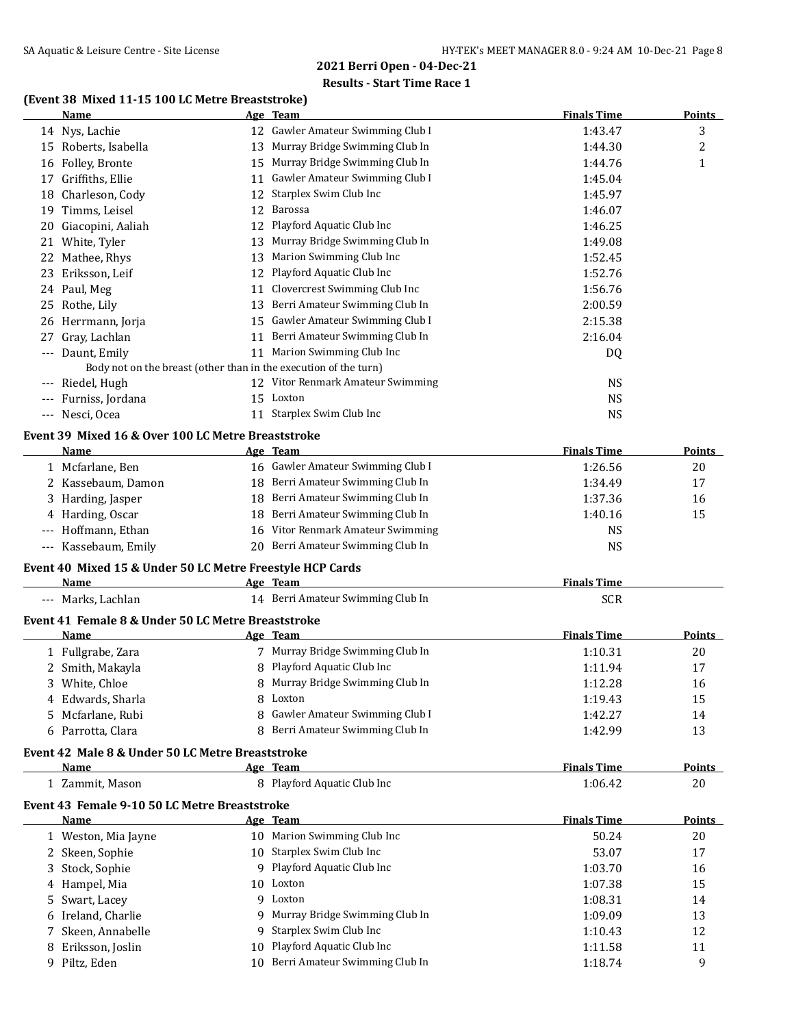### **Results - Start Time Race 1**

# **(Event 38 Mixed 11-15 100 LC Metre Breaststroke)**

|    | (EVEIN 50 MIAEU 11-15 100 LC MENE DI CASISNONE)<br>Name          |    | Age Team                          | <b>Finals Time</b> | <b>Points</b> |
|----|------------------------------------------------------------------|----|-----------------------------------|--------------------|---------------|
|    | 14 Nys, Lachie                                                   |    | 12 Gawler Amateur Swimming Club I | 1:43.47            | 3             |
|    | 15 Roberts, Isabella                                             |    | 13 Murray Bridge Swimming Club In | 1:44.30            | 2             |
|    | 16 Folley, Bronte                                                |    | 15 Murray Bridge Swimming Club In | 1:44.76            | $\mathbf{1}$  |
|    | 17 Griffiths, Ellie                                              |    | 11 Gawler Amateur Swimming Club I | 1:45.04            |               |
|    | 18 Charleson, Cody                                               |    | 12 Starplex Swim Club Inc         | 1:45.97            |               |
|    | 19 Timms, Leisel                                                 |    | 12 Barossa                        | 1:46.07            |               |
|    |                                                                  |    | 12 Playford Aquatic Club Inc      |                    |               |
| 20 | Giacopini, Aaliah                                                |    |                                   | 1:46.25            |               |
|    | 21 White, Tyler                                                  | 13 | Murray Bridge Swimming Club In    | 1:49.08            |               |
|    | 22 Mathee, Rhys                                                  | 13 | Marion Swimming Club Inc          | 1:52.45            |               |
| 23 | Eriksson, Leif                                                   | 12 | Playford Aquatic Club Inc         | 1:52.76            |               |
|    | 24 Paul, Meg                                                     |    | 11 Clovercrest Swimming Club Inc  | 1:56.76            |               |
|    | 25 Rothe, Lily                                                   |    | 13 Berri Amateur Swimming Club In | 2:00.59            |               |
|    | 26 Herrmann, Jorja                                               |    | 15 Gawler Amateur Swimming Club I | 2:15.38            |               |
| 27 | Gray, Lachlan                                                    |    | 11 Berri Amateur Swimming Club In | 2:16.04            |               |
|    | --- Daunt, Emily                                                 |    | 11 Marion Swimming Club Inc       | DQ                 |               |
|    | Body not on the breast (other than in the execution of the turn) |    |                                   |                    |               |
|    | --- Riedel, Hugh                                                 |    | 12 Vitor Renmark Amateur Swimming | <b>NS</b>          |               |
|    | --- Furniss, Jordana                                             |    | 15 Loxton                         | <b>NS</b>          |               |
|    | --- Nesci, Ocea                                                  |    | 11 Starplex Swim Club Inc         | <b>NS</b>          |               |
|    | Event 39 Mixed 16 & Over 100 LC Metre Breaststroke               |    |                                   |                    |               |
|    | Name                                                             |    | Age Team                          | <b>Finals Time</b> | <b>Points</b> |
|    | 1 Mcfarlane, Ben                                                 |    | 16 Gawler Amateur Swimming Club I | 1:26.56            | 20            |
|    | 2 Kassebaum, Damon                                               |    | 18 Berri Amateur Swimming Club In | 1:34.49            | 17            |
| 3. | Harding, Jasper                                                  |    | 18 Berri Amateur Swimming Club In | 1:37.36            | 16            |
|    | 4 Harding, Oscar                                                 |    | 18 Berri Amateur Swimming Club In | 1:40.16            | 15            |
|    | --- Hoffmann, Ethan                                              |    | 16 Vitor Renmark Amateur Swimming | <b>NS</b>          |               |
|    | --- Kassebaum, Emily                                             |    | 20 Berri Amateur Swimming Club In | <b>NS</b>          |               |
|    |                                                                  |    |                                   |                    |               |
|    | Event 40 Mixed 15 & Under 50 LC Metre Freestyle HCP Cards        |    |                                   |                    |               |
|    | Name                                                             |    | Age Team                          | <b>Finals Time</b> |               |
|    | --- Marks, Lachlan                                               |    | 14 Berri Amateur Swimming Club In | <b>SCR</b>         |               |
|    | Event 41 Female 8 & Under 50 LC Metre Breaststroke               |    |                                   |                    |               |
|    | Name                                                             |    | Age Team                          | <b>Finals Time</b> | <b>Points</b> |
|    | 1 Fullgrabe, Zara                                                |    | 7 Murray Bridge Swimming Club In  | 1:10.31            | 20            |
|    | 2 Smith, Makayla                                                 |    | 8 Playford Aquatic Club Inc       | 1:11.94            | 17            |
|    | 3 White, Chloe                                                   |    | 8 Murray Bridge Swimming Club In  | 1:12.28            | 16            |
|    | 4 Edwards, Sharla                                                |    | 8 Loxton                          | 1:19.43            | 15            |
|    | 5 Mcfarlane, Rubi                                                |    | 8 Gawler Amateur Swimming Club I  | 1:42.27            | 14            |
|    | 6 Parrotta, Clara                                                |    | 8 Berri Amateur Swimming Club In  | 1:42.99            | 13            |
|    |                                                                  |    |                                   |                    |               |
|    | Event 42 Male 8 & Under 50 LC Metre Breaststroke                 |    |                                   |                    |               |
|    | Name                                                             |    | Age Team                          | <b>Finals Time</b> | <b>Points</b> |
|    | 1 Zammit, Mason                                                  |    | 8 Playford Aquatic Club Inc       | 1:06.42            | 20            |
|    | Event 43 Female 9-10 50 LC Metre Breaststroke                    |    |                                   |                    |               |
|    | Name                                                             |    | Age Team                          | <b>Finals Time</b> | <b>Points</b> |
|    | 1 Weston, Mia Jayne                                              |    | 10 Marion Swimming Club Inc       | 50.24              | 20            |
|    | 2 Skeen, Sophie                                                  |    | 10 Starplex Swim Club Inc         | 53.07              | 17            |
| 3  | Stock, Sophie                                                    |    | 9 Playford Aquatic Club Inc       | 1:03.70            | 16            |
|    | 4 Hampel, Mia                                                    |    | 10 Loxton                         | 1:07.38            | 15            |
| 5. | Swart, Lacey                                                     |    | 9 Loxton                          | 1:08.31            | 14            |
|    | 6 Ireland, Charlie                                               |    | 9 Murray Bridge Swimming Club In  | 1:09.09            | 13            |

7 Skeen, Annabelle 12 9 Starplex Swim Club Inc 11 10.43 12 8 Eriksson, Joslin 10 Playford Aquatic Club Inc 1:11.58 11 9 Piltz, Eden 10 Berri Amateur Swimming Club In 1:18.74 9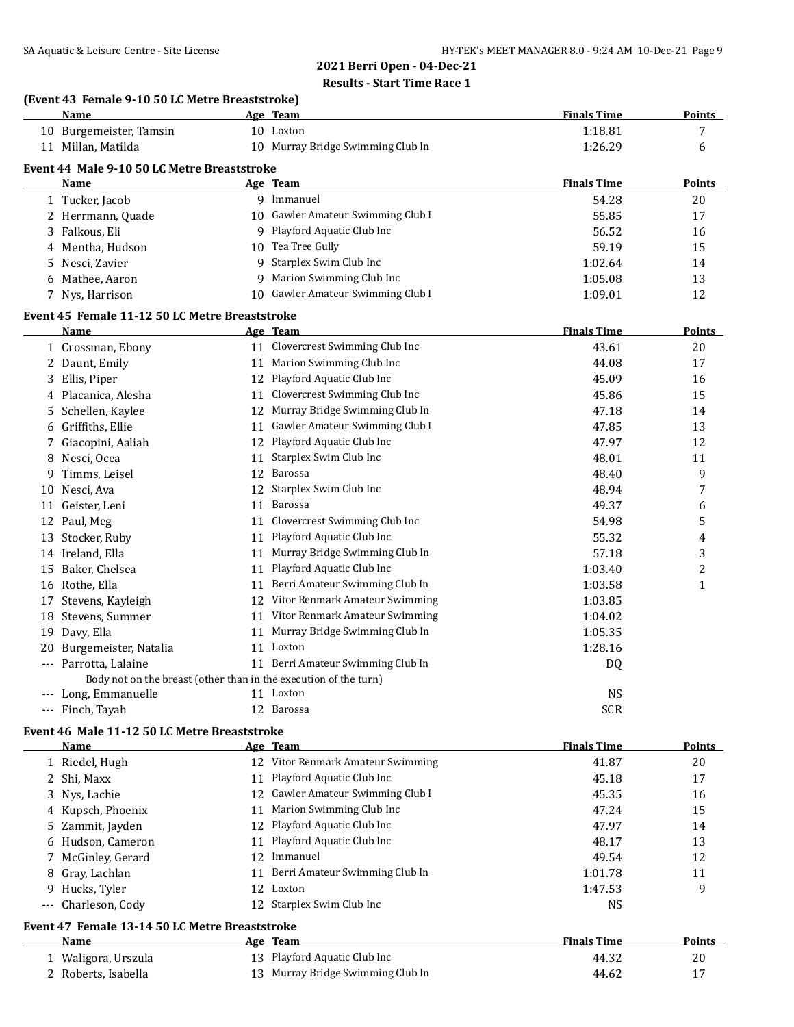### **Results - Start Time Race 1**

### **(Event 43 Female 9-10 50 LC Metre Breaststroke)**

|    | <b>Name</b>                                                      |    | Age Team                          | <b>Finals Time</b> | <b>Points</b>           |
|----|------------------------------------------------------------------|----|-----------------------------------|--------------------|-------------------------|
|    | 10 Burgemeister, Tamsin                                          |    | 10 Loxton                         | 1:18.81            | 7                       |
|    | 11 Millan, Matilda                                               |    | 10 Murray Bridge Swimming Club In | 1:26.29            | 6                       |
|    | Event 44 Male 9-10 50 LC Metre Breaststroke                      |    |                                   |                    |                         |
|    | Name                                                             |    | Age Team                          | <b>Finals Time</b> | <b>Points</b>           |
|    | 1 Tucker, Jacob                                                  |    | 9 Immanuel                        | 54.28              | 20                      |
|    | 2 Herrmann, Quade                                                |    | 10 Gawler Amateur Swimming Club I | 55.85              | 17                      |
|    | 3 Falkous, Eli                                                   |    | 9 Playford Aquatic Club Inc       | 56.52              | 16                      |
|    | 4 Mentha, Hudson                                                 |    | 10 Tea Tree Gully                 | 59.19              | 15                      |
|    | 5 Nesci, Zavier                                                  |    | 9 Starplex Swim Club Inc          | 1:02.64            | 14                      |
|    | 6 Mathee, Aaron                                                  |    | 9 Marion Swimming Club Inc        | 1:05.08            | 13                      |
|    | 7 Nys, Harrison                                                  |    | 10 Gawler Amateur Swimming Club I | 1:09.01            | 12                      |
|    | Event 45 Female 11-12 50 LC Metre Breaststroke                   |    |                                   |                    |                         |
|    | <b>Name</b>                                                      |    | Age Team                          | <b>Finals Time</b> | <b>Points</b>           |
|    | 1 Crossman, Ebony                                                |    | 11 Clovercrest Swimming Club Inc  | 43.61              | 20                      |
|    | 2 Daunt, Emily                                                   | 11 | Marion Swimming Club Inc          | 44.08              | 17                      |
|    | 3 Ellis, Piper                                                   |    | 12 Playford Aquatic Club Inc      | 45.09              | 16                      |
|    | 4 Placanica, Alesha                                              | 11 | Clovercrest Swimming Club Inc     | 45.86              | 15                      |
|    | 5 Schellen, Kaylee                                               | 12 | Murray Bridge Swimming Club In    | 47.18              | 14                      |
| 6  | Griffiths, Ellie                                                 | 11 | Gawler Amateur Swimming Club I    | 47.85              | 13                      |
|    | 7 Giacopini, Aaliah                                              | 12 | Playford Aquatic Club Inc         | 47.97              | 12                      |
|    | 8 Nesci, Ocea                                                    | 11 | Starplex Swim Club Inc            | 48.01              | 11                      |
| 9. | Timms, Leisel                                                    | 12 | Barossa                           | 48.40              | 9                       |
| 10 | Nesci, Ava                                                       | 12 | Starplex Swim Club Inc            | 48.94              | 7                       |
|    | 11 Geister, Leni                                                 | 11 | Barossa                           | 49.37              | 6                       |
|    | 12 Paul, Meg                                                     | 11 | Clovercrest Swimming Club Inc     | 54.98              | 5                       |
| 13 | Stocker, Ruby                                                    | 11 | Playford Aquatic Club Inc         | 55.32              | 4                       |
|    | 14 Ireland, Ella                                                 | 11 | Murray Bridge Swimming Club In    | 57.18              | 3                       |
|    | 15 Baker, Chelsea                                                | 11 | Playford Aquatic Club Inc         | 1:03.40            | $\overline{\mathbf{c}}$ |
|    | 16 Rothe, Ella                                                   |    | 11 Berri Amateur Swimming Club In | 1:03.58            | $\mathbf{1}$            |
|    | 17 Stevens, Kayleigh                                             |    | 12 Vitor Renmark Amateur Swimming | 1:03.85            |                         |
|    | 18 Stevens, Summer                                               |    | 11 Vitor Renmark Amateur Swimming | 1:04.02            |                         |
|    | 19 Davy, Ella                                                    | 11 | Murray Bridge Swimming Club In    | 1:05.35            |                         |
| 20 | Burgemeister, Natalia                                            |    | 11 Loxton                         | 1:28.16            |                         |
|    | Parrotta, Lalaine                                                |    | 11 Berri Amateur Swimming Club In | DQ                 |                         |
|    | Body not on the breast (other than in the execution of the turn) |    |                                   |                    |                         |
|    | --- Long, Emmanuelle                                             |    | 11 Loxton                         | <b>NS</b>          |                         |
|    | --- Finch, Tayah                                                 |    | 12 Barossa                        | <b>SCR</b>         |                         |

### **Event 46 Male 11-12 50 LC Metre Breaststroke**

| Name                | Age Team                             | <b>Finals Time</b> | Points |
|---------------------|--------------------------------------|--------------------|--------|
| 1 Riedel, Hugh      | Vitor Renmark Amateur Swimming<br>12 | 41.87              | 20     |
| 2 Shi, Maxx         | 11 Playford Aquatic Club Inc         | 45.18              | 17     |
| 3 Nys, Lachie       | 12 Gawler Amateur Swimming Club I    | 45.35              | 16     |
| 4 Kupsch, Phoenix   | Marion Swimming Club Inc<br>11       | 47.24              | 15     |
| 5 Zammit, Jayden    | 12 Playford Aquatic Club Inc         | 47.97              | 14     |
| 6 Hudson, Cameron   | Playford Aquatic Club Inc<br>11      | 48.17              | 13     |
| 7 McGinley, Gerard  | 12 Immanuel                          | 49.54              | 12     |
| 8 Gray, Lachlan     | Berri Amateur Swimming Club In<br>11 | 1:01.78            | 11     |
| 9 Hucks, Tyler      | 12 Loxton                            | 1:47.53            | 9      |
| --- Charleson, Cody | 12 Starplex Swim Club Inc            | NS.                |        |
|                     |                                      |                    |        |

# **Event 47 Female 13-14 50 LC Metre Breaststroke**

| Name                | Age Team                          | <b>Finals Time</b> | <b>Points</b> |
|---------------------|-----------------------------------|--------------------|---------------|
| ⊥ Waligora, Urszula | 13 Playford Aquatic Club Inc      | 44.32              | 20            |
| 2 Roberts, Isabella | 13 Murray Bridge Swimming Club In | 44.62              |               |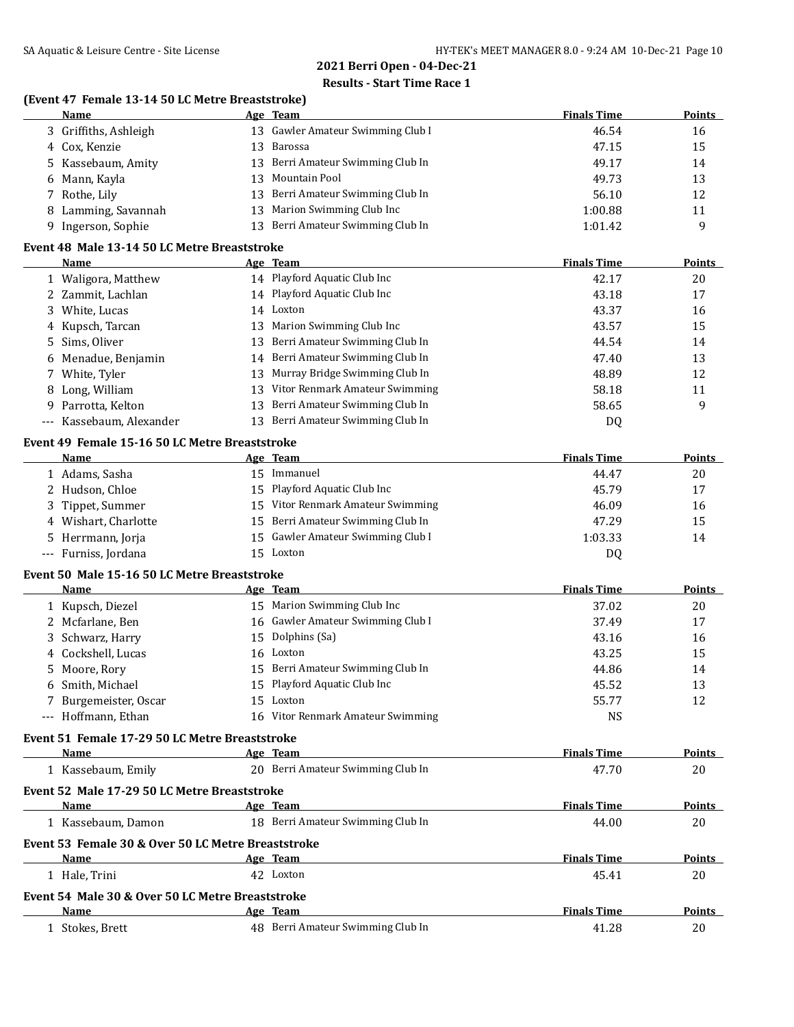### **Results - Start Time Race 1**

### **(Event 47 Female 13-14 50 LC Metre Breaststroke)**

| Name                  | Age Team                              | <b>Finals Time</b> | <b>Points</b> |
|-----------------------|---------------------------------------|--------------------|---------------|
| 3 Griffiths, Ashleigh | 13 Gawler Amateur Swimming Club I     | 46.54              | 16            |
| 4 Cox, Kenzie         | 13 Barossa                            | 47.15              | 15            |
| 5 Kassebaum, Amity    | Berri Amateur Swimming Club In<br>13  | 49.17              | 14            |
| 6 Mann, Kayla         | Mountain Pool<br>13.                  | 49.73              | 13            |
| 7 Rothe, Lily         | Berri Amateur Swimming Club In<br>13  | 56.10              | 12            |
| 8 Lamming, Savannah   | 13 Marion Swimming Club Inc           | 1:00.88            | 11            |
| 9 Ingerson, Sophie    | Berri Amateur Swimming Club In<br>13. | 1:01.42            | q             |
|                       |                                       |                    |               |

### **Event 48 Male 13-14 50 LC Metre Breaststroke**

| <b>Name</b>              | Age Team                               | <b>Finals Time</b> | <b>Points</b> |
|--------------------------|----------------------------------------|--------------------|---------------|
| 1 Waligora, Matthew      | 14 Playford Aquatic Club Inc           | 42.17              | 20            |
| 2 Zammit, Lachlan        | 14 Playford Aquatic Club Inc           | 43.18              | 17            |
| 3 White, Lucas           | 14 Loxton                              | 43.37              | 16            |
| 4 Kupsch, Tarcan         | 13 Marion Swimming Club Inc            | 43.57              | 15            |
| 5 Sims, Oliver           | 13 Berri Amateur Swimming Club In      | 44.54              | 14            |
| 6 Menadue, Benjamin      | 14 Berri Amateur Swimming Club In      | 47.40              | 13            |
| 7 White, Tyler           | Murray Bridge Swimming Club In<br>13 - | 48.89              | 12            |
| 8 Long, William          | Vitor Renmark Amateur Swimming<br>13   | 58.18              | 11            |
| 9 Parrotta, Kelton       | Berri Amateur Swimming Club In<br>13.  | 58.65              | 9             |
| --- Kassebaum, Alexander | 13 Berri Amateur Swimming Club In      | DQ                 |               |

### **Event 49 Female 15-16 50 LC Metre Breaststroke**

| Name                 |     | Age Team                          | <b>Finals Time</b> | <b>Points</b> |
|----------------------|-----|-----------------------------------|--------------------|---------------|
| 1 Adams, Sasha       | 15. | Immanuel                          | 44.47              | 20            |
| 2 Hudson, Chloe      |     | 15 Playford Aquatic Club Inc      | 45.79              | 17            |
| 3 Tippet, Summer     |     | 15 Vitor Renmark Amateur Swimming | 46.09              | 16            |
| 4 Wishart, Charlotte |     | 15 Berri Amateur Swimming Club In | 47.29              | 15            |
| 5 Herrmann, Jorja    |     | 15 Gawler Amateur Swimming Club I | 1:03.33            | 14            |
| --- Furniss, Jordana |     | 15 Loxton                         | D0                 |               |

#### **Event 50 Male 15-16 50 LC Metre Breaststroke**

| Name                  | Age Team                          | <b>Finals Time</b> | <b>Points</b> |
|-----------------------|-----------------------------------|--------------------|---------------|
| 1 Kupsch, Diezel      | 15 Marion Swimming Club Inc       | 37.02              | 20            |
| 2 Mcfarlane, Ben      | 16 Gawler Amateur Swimming Club I | 37.49              | 17            |
| 3 Schwarz, Harry      | 15 Dolphins (Sa)                  | 43.16              | 16            |
| 4 Cockshell, Lucas    | 16 Loxton                         | 43.25              | 15            |
| 5 Moore, Rory         | 15 Berri Amateur Swimming Club In | 44.86              | 14            |
| 6 Smith, Michael      | 15 Playford Aquatic Club Inc      | 45.52              | 13            |
| 7 Burgemeister, Oscar | 15 Loxton                         | 55.77              | 12            |
| --- Hoffmann, Ethan   | 16 Vitor Renmark Amateur Swimming | NS                 |               |

#### **Event 51 Female 17-29 50 LC Metre Breaststroke**

| Name                                               | Age Team                              | <b>Finals Time</b> | <b>Points</b> |
|----------------------------------------------------|---------------------------------------|--------------------|---------------|
| 1 Kassebaum, Emily                                 | Berri Amateur Swimming Club In<br>20. | 47.70              | 20            |
| Event 52 Male 17-29 50 LC Metre Breaststroke       |                                       |                    |               |
| <b>Name</b>                                        | Age Team                              | <b>Finals Time</b> | <b>Points</b> |
| 1 Kassebaum, Damon                                 | Berri Amateur Swimming Club In<br>18  | 44.00              | 20            |
| Event 53 Female 30 & Over 50 LC Metre Breaststroke |                                       |                    |               |
| Name                                               | Age Team                              | <b>Finals Time</b> | <b>Points</b> |
| 1 Hale, Trini                                      | 42 Loxton                             | 45.41              | 20            |
| Event 54 Male 30 & Over 50 LC Metre Breaststroke   |                                       |                    |               |
| <b>Name</b>                                        | Age Team                              | <b>Finals Time</b> | <b>Points</b> |
| Stokes, Brett                                      | Berri Amateur Swimming Club In<br>48  | 41.28              | 20            |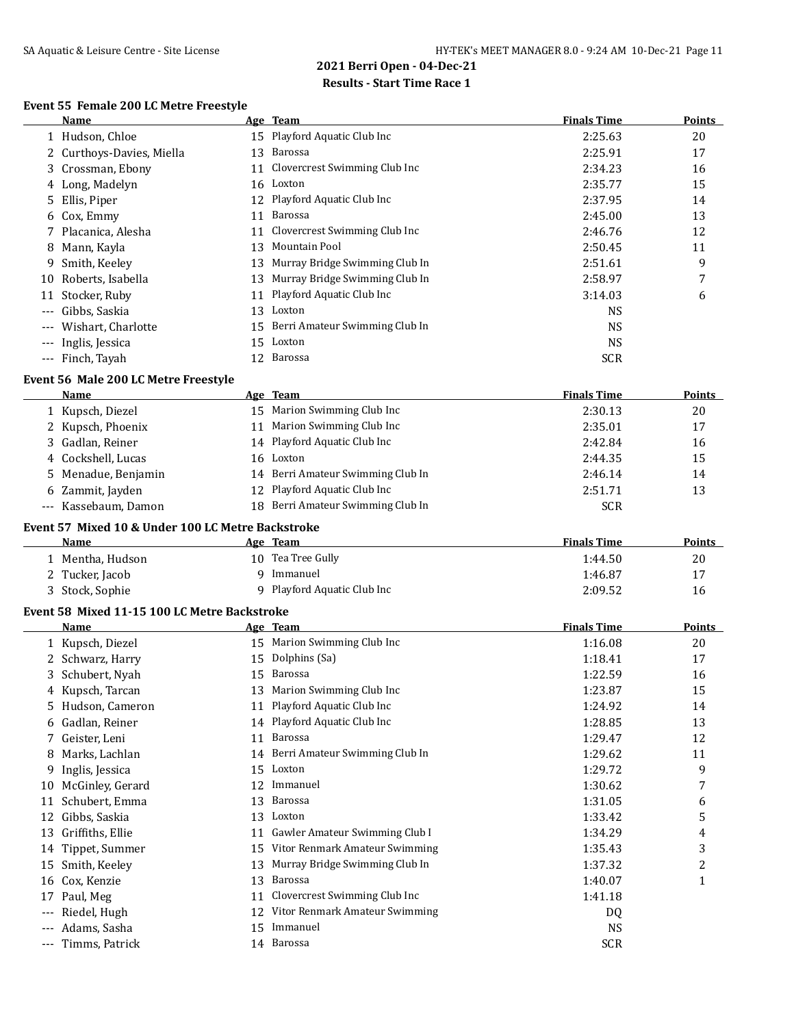# **Event 55 Female 200 LC Metre Freestyle**

|                     | Name                      |     | Age Team                         | <b>Finals Time</b> | <b>Points</b> |
|---------------------|---------------------------|-----|----------------------------------|--------------------|---------------|
|                     | 1 Hudson, Chloe           |     | 15 Playford Aquatic Club Inc     | 2:25.63            | 20            |
|                     | 2 Curthoys-Davies, Miella | 13  | Barossa                          | 2:25.91            | 17            |
|                     | 3 Crossman, Ebony         |     | 11 Clovercrest Swimming Club Inc | 2:34.23            | 16            |
|                     | 4 Long, Madelyn           |     | 16 Loxton                        | 2:35.77            | 15            |
|                     | 5 Ellis, Piper            |     | 12 Playford Aquatic Club Inc     | 2:37.95            | 14            |
|                     | 6 Cox, Emmy               | 11  | Barossa                          | 2:45.00            | 13            |
|                     | 7 Placanica, Alesha       | 11  | Clovercrest Swimming Club Inc    | 2:46.76            | 12            |
|                     | 8 Mann, Kayla             | 13  | Mountain Pool                    | 2:50.45            | 11            |
| 9                   | Smith, Keeley             | 13  | Murray Bridge Swimming Club In   | 2:51.61            | 9             |
| 10                  | Roberts, Isabella         | 13  | Murray Bridge Swimming Club In   | 2:58.97            | 7             |
| 11                  | Stocker, Ruby             | 11  | Playford Aquatic Club Inc        | 3:14.03            | 6             |
| $---$               | Gibbs, Saskia             | 13  | Loxton                           | <b>NS</b>          |               |
| $---$               | Wishart, Charlotte        | 15  | Berri Amateur Swimming Club In   | NS.                |               |
| $\qquad \qquad - -$ | Inglis, Jessica           | 15  | Loxton                           | <b>NS</b>          |               |
|                     | --- Finch, Tayah          | 12. | Barossa                          | <b>SCR</b>         |               |

#### **Event 56 Male 200 LC Metre Freestyle**

| Name                 | Age Team                          | <b>Finals Time</b> | <b>Points</b> |
|----------------------|-----------------------------------|--------------------|---------------|
| 1 Kupsch, Diezel     | 15 Marion Swimming Club Inc       | 2:30.13            | 20            |
| 2 Kupsch, Phoenix    | Marion Swimming Club Inc<br>11    | 2:35.01            | 17            |
| 3 Gadlan, Reiner     | 14 Playford Aquatic Club Inc      | 2:42.84            | 16            |
| 4 Cockshell, Lucas   | 16 Loxton                         | 2:44.35            | 15            |
| 5 Menadue, Benjamin  | 14 Berri Amateur Swimming Club In | 2:46.14            | 14            |
| 6 Zammit, Jayden     | 12 Playford Aquatic Club Inc      | 2:51.71            | 13            |
| --- Kassebaum, Damon | 18 Berri Amateur Swimming Club In | <b>SCR</b>         |               |

#### **Event 57 Mixed 10 & Under 100 LC Metre Backstroke**

| Name            | <b>Team</b><br>Age          | <b>Finals Time</b> | <b>Points</b> |
|-----------------|-----------------------------|--------------------|---------------|
| Mentha, Hudson  | 10 Tea Tree Gully           | 1:44.50            | 20            |
| 2 Tucker, Jacob | Immanuel                    | 1:46.87            | 17            |
| 3 Stock, Sophie | 9 Playford Aquatic Club Inc | 2:09.52            | 16            |

### **Event 58 Mixed 11-15 100 LC Metre Backstroke**

|     | <b>Name</b>      |    | Age Team                       | <b>Finals Time</b> | <b>Points</b> |
|-----|------------------|----|--------------------------------|--------------------|---------------|
|     | 1 Kupsch, Diezel | 15 | Marion Swimming Club Inc       | 1:16.08            | 20            |
|     | 2 Schwarz, Harry | 15 | Dolphins (Sa)                  | 1:18.41            | 17            |
|     | 3 Schubert, Nyah | 15 | Barossa                        | 1:22.59            | 16            |
|     | 4 Kupsch, Tarcan | 13 | Marion Swimming Club Inc       | 1:23.87            | 15            |
| 5   | Hudson, Cameron  | 11 | Playford Aquatic Club Inc      | 1:24.92            | 14            |
| 6   | Gadlan, Reiner   | 14 | Playford Aquatic Club Inc      | 1:28.85            | 13            |
|     | Geister, Leni    | 11 | Barossa                        | 1:29.47            | 12            |
| 8   | Marks, Lachlan   | 14 | Berri Amateur Swimming Club In | 1:29.62            | 11            |
| 9.  | Inglis, Jessica  | 15 | Loxton                         | 1:29.72            | 9             |
| 10  | McGinley, Gerard | 12 | Immanuel                       | 1:30.62            | 7             |
| 11  | Schubert, Emma   | 13 | Barossa                        | 1:31.05            | 6             |
| 12  | Gibbs, Saskia    | 13 | Loxton                         | 1:33.42            | 5             |
| 13  | Griffiths, Ellie | 11 | Gawler Amateur Swimming Club I | 1:34.29            | 4             |
| 14  | Tippet, Summer   | 15 | Vitor Renmark Amateur Swimming | 1:35.43            | 3             |
| 15  | Smith, Keeley    | 13 | Murray Bridge Swimming Club In | 1:37.32            | 2             |
| 16  | Cox, Kenzie      | 13 | Barossa                        | 1:40.07            | 1             |
| 17  | Paul, Meg        | 11 | Clovercrest Swimming Club Inc  | 1:41.18            |               |
| --- | Riedel, Hugh     | 12 | Vitor Renmark Amateur Swimming | DQ                 |               |
|     | Adams, Sasha     | 15 | Immanuel                       | <b>NS</b>          |               |
|     | Timms, Patrick   | 14 | Barossa                        | <b>SCR</b>         |               |
|     |                  |    |                                |                    |               |